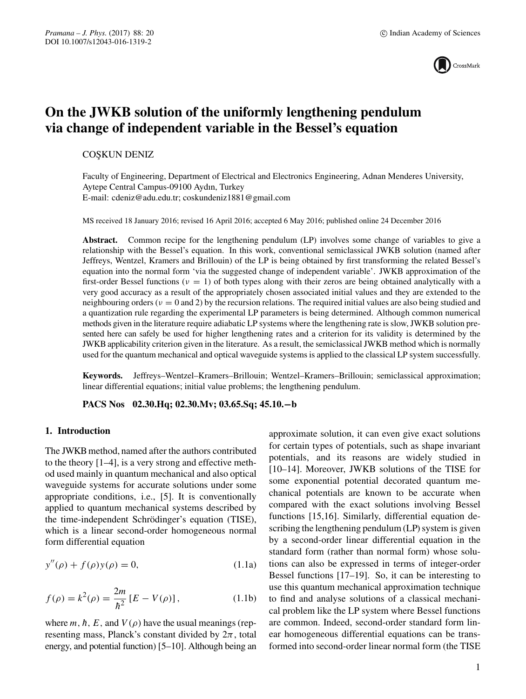

# **On the JWKB solution of the uniformly lengthening pendulum via change of independent variable in the Bessel's equation**

## **COSKUN DENIZ**

Faculty of Engineering, Department of Electrical and Electronics Engineering, Adnan Menderes University, Aytepe Central Campus-09100 Aydın, Turkey E-mail: cdeniz@adu.edu.tr; coskundeniz1881@gmail.com

MS received 18 January 2016; revised 16 April 2016; accepted 6 May 2016; published online 24 December 2016

**Abstract.** Common recipe for the lengthening pendulum (LP) involves some change of variables to give a relationship with the Bessel's equation. In this work, conventional semiclassical JWKB solution (named after Jeffreys, Wentzel, Kramers and Brillouin) of the LP is being obtained by first transforming the related Bessel's equation into the normal form 'via the suggested change of independent variable'. JWKB approximation of the first-order Bessel functions ( $v = 1$ ) of both types along with their zeros are being obtained analytically with a very good accuracy as a result of the appropriately chosen associated initial values and they are extended to the neighbouring orders ( $v = 0$  and 2) by the recursion relations. The required initial values are also being studied and a quantization rule regarding the experimental LP parameters is being determined. Although common numerical methods given in the literature require adiabatic LP systems where the lengthening rate is slow, JWKB solution presented here can safely be used for higher lengthening rates and a criterion for its validity is determined by the JWKB applicability criterion given in the literature. As a result, the semiclassical JWKB method which is normally used for the quantum mechanical and optical waveguide systems is applied to the classical LP system successfully.

**Keywords.** Jeffreys–Wentzel–Kramers–Brillouin; Wentzel–Kramers–Brillouin; semiclassical approximation; linear differential equations; initial value problems; the lengthening pendulum.

**PACS Nos 02.30.Hq; 02.30.Mv; 03.65.Sq; 45.10.−b**

## **1. Introduction**

The JWKB method, named after the authors contributed to the theory [1–4], is a very strong and effective method used mainly in quantum mechanical and also optical waveguide systems for accurate solutions under some appropriate conditions, i.e., [5]. It is conventionally applied to quantum mechanical systems described by the time-independent Schrödinger's equation (TISE), which is a linear second-order homogeneous normal form differential equation

$$
y''(\rho) + f(\rho)y(\rho) = 0,
$$
 (1.1a)

$$
f(\rho) = k^2(\rho) = \frac{2m}{\hbar^2} [E - V(\rho)],
$$
 (1.1b)

where m, h, E, and  $V(\rho)$  have the usual meanings (representing mass, Planck's constant divided by  $2\pi$ , total energy, and potential function) [5–10]. Although being an approximate solution, it can even give exact solutions for certain types of potentials, such as shape invariant potentials, and its reasons are widely studied in [10–14]. Moreover, JWKB solutions of the TISE for some exponential potential decorated quantum mechanical potentials are known to be accurate when compared with the exact solutions involving Bessel functions [15,16]. Similarly, differential equation describing the lengthening pendulum (LP) system is given by a second-order linear differential equation in the standard form (rather than normal form) whose solutions can also be expressed in terms of integer-order Bessel functions [17–19]. So, it can be interesting to use this quantum mechanical approximation technique to find and analyse solutions of a classical mechanical problem like the LP system where Bessel functions are common. Indeed, second-order standard form linear homogeneous differential equations can be transformed into second-order linear normal form (the TISE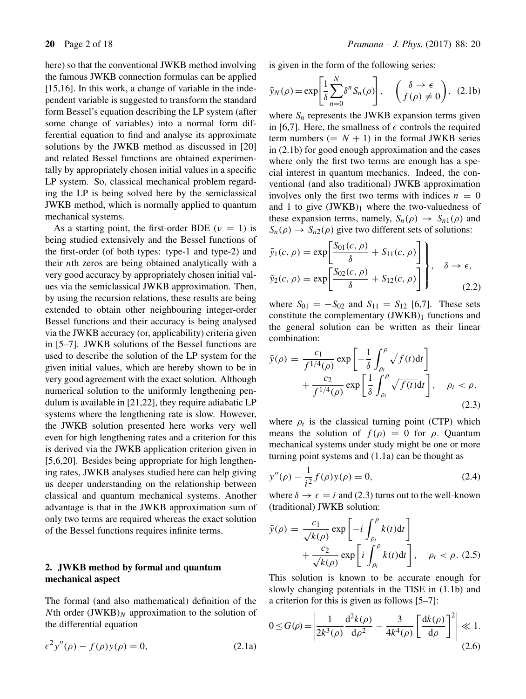here) so that the conventional JWKB method involving the famous JWKB connection formulas can be applied  $[15,16]$ . In this work, a change of variable in the independent variable is suggested to transform the standard form Bessel's equation describing the LP system (after some change of variables) into a normal form differential equation to find and analyse its approximate solutions by the JWKB method as discussed in [20] and related Bessel functions are obtained experimentally by appropriately chosen initial values in a specific LP system. So, classical mechanical problem regarding the LP is being solved here by the semiclassical JWKB method, which is normally applied to quantum mechanical systems.

As a starting point, the first-order BDE ( $\nu = 1$ ) is being studied extensively and the Bessel functions of the first-order (of both types: type-1 and type-2) and their nth zeros are being obtained analytically with a very good accuracy by appropriately chosen initial values via the semiclassical JWKB approximation. Then, by using the recursion relations, these results are being extended to obtain other neighbouring integer-order Bessel functions and their accuracy is being analysed via the JWKB accuracy (or, applicability) criteria given in [5–7]. JWKB solutions of the Bessel functions are used to describe the solution of the LP system for the given initial values, which are hereby shown to be in very good agreement with the exact solution. Although numerical solution to the uniformly lengthening pendulum is available in [21,22], they require adiabatic LP systems where the lengthening rate is slow. However, the JWKB solution presented here works very well even for high lengthening rates and a criterion for this is derived via the JWKB application criterion given in [5,6,20]. Besides being appropriate for high lengthening rates, JWKB analyses studied here can help giving us deeper understanding on the relationship between classical and quantum mechanical systems. Another advantage is that in the JWKB approximation sum of only two terms are required whereas the exact solution of the Bessel functions requires infinite terms.

# **2. JWKB method by formal and quantum mechanical aspect**

The formal (and also mathematical) definition of the Nth order  $(JWKB)_N$  approximation to the solution of the differential equation

$$
\epsilon^2 y''(\rho) - f(\rho)y(\rho) = 0,\t(2.1a)
$$

is given in the form of the following series:

$$
\tilde{y}_N(\rho) = \exp\left[\frac{1}{\delta} \sum_{n=0}^N \delta^n S_n(\rho)\right], \quad \left(\begin{array}{c} \delta \to \epsilon \\ f(\rho) \neq 0 \end{array}\right), \quad (2.1b)
$$

where  $S_n$  represents the JWKB expansion terms given in [6,7]. Here, the smallness of  $\epsilon$  controls the required term numbers  $(= N + 1)$  in the formal JWKB series in (2.1b) for good enough approximation and the cases where only the first two terms are enough has a special interest in quantum mechanics. Indeed, the conventional (and also traditional) JWKB approximation involves only the first two terms with indices  $n = 0$ and 1 to give  $(JWKB)_1$  where the two-valuedness of these expansion terms, namely,  $S_n(\rho) \rightarrow S_{n1}(\rho)$  and  $S_n(\rho) \to S_{n2}(\rho)$  give two different sets of solutions:

$$
\tilde{y}_1(c,\rho) = \exp\left[\frac{S_{01}(c,\rho)}{\delta} + S_{11}(c,\rho)\right] \,, \quad \delta \to \epsilon,
$$
  

$$
\tilde{y}_2(c,\rho) = \exp\left[\frac{S_{02}(c,\rho)}{\delta} + S_{12}(c,\rho)\right], \quad \delta \to \epsilon,
$$
 (2.2)

where  $S_{01} = -S_{02}$  and  $S_{11} = S_{12}$  [6,7]. These sets constitute the complementary  $(JWKB)_1$  functions and the general solution can be written as their linear combination:

$$
\tilde{y}(\rho) = \frac{c_1}{f^{1/4}(\rho)} \exp\left[-\frac{1}{\delta} \int_{\rho_t}^{\rho} \sqrt{f(t)} dt\right] + \frac{c_2}{f^{1/4}(\rho)} \exp\left[\frac{1}{\delta} \int_{\rho_t}^{\rho} \sqrt{f(t)} dt\right], \quad \rho_t < \rho,
$$
\n(2.3)

where  $\rho_t$  is the classical turning point (CTP) which means the solution of  $f(\rho) = 0$  for  $\rho$ . Quantum mechanical systems under study might be one or more turning point systems and (1.1a) can be thought as

$$
y''(\rho) - \frac{1}{i^2} f(\rho) y(\rho) = 0,
$$
\n(2.4)

where  $\delta \rightarrow \epsilon = i$  and (2.3) turns out to the well-known (traditional) JWKB solution:

$$
\tilde{y}(\rho) = \frac{c_1}{\sqrt{k(\rho)}} \exp\left[-i \int_{\rho_t}^{\rho} k(t) dt\right] + \frac{c_2}{\sqrt{k(\rho)}} \exp\left[i \int_{\rho_t}^{\rho} k(t) dt\right], \quad \rho_t < \rho. (2.5)
$$

This solution is known to be accurate enough for slowly changing potentials in the TISE in (1.1b) and a criterion for this is given as follows [5–7]:

$$
0 \le G(\rho) = \left| \frac{1}{2k^3(\rho)} \frac{d^2 k(\rho)}{d\rho^2} - \frac{3}{4k^4(\rho)} \left[ \frac{dk(\rho)}{d\rho} \right]^2 \right| \ll 1.
$$
\n(2.6)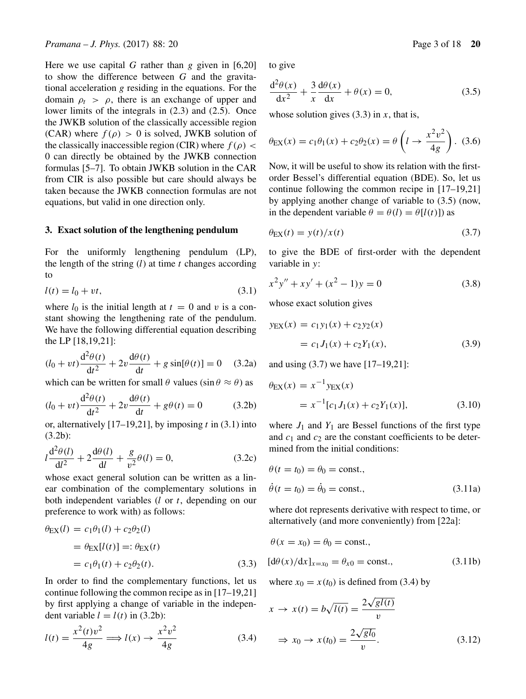Here we use capital G rather than g given in  $[6,20]$ to show the difference between  $G$  and the gravitational acceleration g residing in the equations. For the domain  $\rho_t > \rho$ , there is an exchange of upper and lower limits of the integrals in (2.3) and (2.5). Once the JWKB solution of the classically accessible region (CAR) where  $f(\rho) > 0$  is solved, JWKB solution of the classically inaccessible region (CIR) where  $f(\rho)$  < 0 can directly be obtained by the JWKB connection formulas [5–7]. To obtain JWKB solution in the CAR from CIR is also possible but care should always be taken because the JWKB connection formulas are not equations, but valid in one direction only.

#### **3. Exact solution of the lengthening pendulum**

For the uniformly lengthening pendulum (LP), the length of the string  $(l)$  at time t changes according to

$$
l(t) = l_0 + vt,\tag{3.1}
$$

where  $l_0$  is the initial length at  $t = 0$  and v is a constant showing the lengthening rate of the pendulum. We have the following differential equation describing the LP [18,19,21]:

$$
(l_0 + vt)\frac{d^2\theta(t)}{dt^2} + 2v\frac{d\theta(t)}{dt} + g\sin[\theta(t)] = 0 \quad (3.2a)
$$

which can be written for small  $\theta$  values (sin  $\theta \approx \theta$ ) as

$$
(l_0 + vt)\frac{d^2\theta(t)}{dt^2} + 2v\frac{d\theta(t)}{dt} + g\theta(t) = 0
$$
 (3.2b)

or, alternatively [17–19,21], by imposing  $t$  in (3.1) into (3.2b):

$$
l\frac{d^2\theta(l)}{dl^2} + 2\frac{d\theta(l)}{dl} + \frac{g}{v^2}\theta(l) = 0,
$$
 (3.2c)

whose exact general solution can be written as a linear combination of the complementary solutions in both independent variables  $(l \text{ or } t)$ , depending on our preference to work with) as follows:

$$
\theta_{\text{EX}}(l) = c_1 \theta_1(l) + c_2 \theta_2(l)
$$
  
=  $\theta_{\text{EX}}[l(t)] =: \theta_{\text{EX}}(t)$   
=  $c_1 \theta_1(t) + c_2 \theta_2(t)$ . (3.3)

In order to find the complementary functions, let us continue following the common recipe as in [17–19,21] by first applying a change of variable in the independent variable  $l = l(t)$  in (3.2b):

$$
l(t) = \frac{x^2(t)v^2}{4g} \Longrightarrow l(x) \rightarrow \frac{x^2v^2}{4g} \tag{3.4}
$$

to give

$$
\frac{d^2\theta(x)}{dx^2} + \frac{3}{x}\frac{d\theta(x)}{dx} + \theta(x) = 0,
$$
\n(3.5)

whose solution gives  $(3.3)$  in x, that is,

$$
\theta_{EX}(x) = c_1 \theta_1(x) + c_2 \theta_2(x) = \theta \left( l \to \frac{x^2 v^2}{4g} \right).
$$
 (3.6)

Now, it will be useful to show its relation with the firstorder Bessel's differential equation (BDE). So, let us continue following the common recipe in [17–19,21] by applying another change of variable to (3.5) (now, in the dependent variable  $\theta = \theta(l) = \theta[l(t)]$  as

$$
\theta_{\rm EX}(t) = y(t)/x(t) \tag{3.7}
$$

to give the BDE of first-order with the dependent variable in y:

$$
x^{2}y'' + xy' + (x^{2} - 1)y = 0
$$
 (3.8)

whose exact solution gives

$$
y_{EX}(x) = c_1 y_1(x) + c_2 y_2(x)
$$
  
=  $c_1 J_1(x) + c_2 Y_1(x)$ , (3.9)

and using (3.7) we have [17–19,21]:

$$
\theta_{\text{EX}}(x) = x^{-1} y_{\text{EX}}(x)
$$
  
=  $x^{-1} [c_1 J_1(x) + c_2 Y_1(x)],$  (3.10)

where  $J_1$  and  $Y_1$  are Bessel functions of the first type and  $c_1$  and  $c_2$  are the constant coefficients to be determined from the initial conditions:

$$
\theta(t = t_0) = \theta_0 = \text{const.},
$$
  
\n
$$
\dot{\theta}(t = t_0) = \dot{\theta}_0 = \text{const.},
$$
\n(3.11a)

where dot represents derivative with respect to time, or alternatively (and more conveniently) from [22a]:

$$
\theta(x = x_0) = \theta_0 = \text{const.},
$$
  
\n
$$
[d\theta(x)/dx]_{x=x_0} = \theta_{x0} = \text{const.},
$$
\n(3.11b)

where  $x_0 = x(t_0)$  is defined from (3.4) by

$$
x \to x(t) = b\sqrt{l(t)} = \frac{2\sqrt{gl(t)}}{v}
$$
  

$$
\Rightarrow x_0 \to x(t_0) = \frac{2\sqrt{gl_0}}{v}.
$$
 (3.12)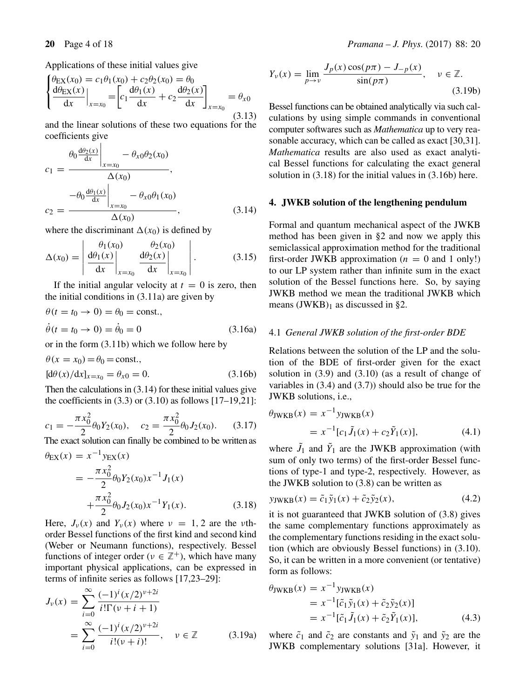Applications of these initial values give

$$
\begin{cases} \theta_{\text{EX}}(x_0) = c_1 \theta_1(x_0) + c_2 \theta_2(x_0) = \theta_0 \\ \frac{d\theta_{\text{EX}}(x)}{dx} \Big|_{x=x_0} = \left[ c_1 \frac{d\theta_1(x)}{dx} + c_2 \frac{d\theta_2(x)}{dx} \right]_{x=x_0} = \theta_{x0} \end{cases} (3.13)
$$

and the linear solutions of these two equations for the coefficients give

$$
c_1 = \frac{\theta_0 \frac{d\theta_2(x)}{dx} \Big|_{x=x_0} - \theta_{x0}\theta_2(x_0)}{\Delta(x_0)},
$$
  

$$
c_2 = \frac{-\theta_0 \frac{d\theta_1(x)}{dx} \Big|_{x=x_0} - \theta_{x0}\theta_1(x_0)}{\Delta(x_0)},
$$
(3.14)

where the discriminant  $\Delta(x_0)$  is defined by

$$
\Delta(x_0) = \left| \frac{\theta_1(x_0)}{\mathrm{d}x} \right|_{x=x_0} \frac{\theta_2(x_0)}{\mathrm{d}x} \right|_{x=x_0}.
$$
 (3.15)

If the initial angular velocity at  $t = 0$  is zero, then the initial conditions in (3.11a) are given by

$$
\theta(t = t_0 \to 0) = \theta_0 = \text{const.},
$$
  

$$
\dot{\theta}(t = t_0 \to 0) = \dot{\theta}_0 = 0
$$
 (3.16a)

or in the form (3.11b) which we follow here by

$$
\theta(x = x_0) = \theta_0 = \text{const.},
$$
  
\n $[d\theta(x)/dx]_{x=x_0} = \theta_{x0} = 0.$  (3.16b)

Then the calculations in (3.14) for these initial values give the coefficients in  $(3.3)$  or  $(3.10)$  as follows  $[17–19,21]$ :

$$
c_1 = -\frac{\pi x_0^2}{2} \theta_0 Y_2(x_0), \quad c_2 = \frac{\pi x_0^2}{2} \theta_0 J_2(x_0). \tag{3.17}
$$

The exact solution can finally be combined to be written as

$$
\theta_{\text{EX}}(x) = x^{-1} y_{\text{EX}}(x)
$$
  
=  $-\frac{\pi x_0^2}{2} \theta_0 Y_2(x_0) x^{-1} J_1(x)$   
+  $\frac{\pi x_0^2}{2} \theta_0 J_2(x_0) x^{-1} Y_1(x)$ . (3.18)

Here,  $J_{\nu}(x)$  and  $Y_{\nu}(x)$  where  $\nu = 1, 2$  are the *v*thorder Bessel functions of the first kind and second kind (Weber or Neumann functions), respectively. Bessel functions of integer order ( $v \in \mathbb{Z}^+$ ), which have many important physical applications, can be expressed in terms of infinite series as follows [17,23–29]:

$$
J_{\nu}(x) = \sum_{i=0}^{\infty} \frac{(-1)^{i} (x/2)^{\nu+2i}}{i! \Gamma(\nu+i+1)}
$$
  
= 
$$
\sum_{i=0}^{\infty} \frac{(-1)^{i} (x/2)^{\nu+2i}}{i! (\nu+i)!}, \quad \nu \in \mathbb{Z}
$$
 (3.19a)

$$
Y_{\nu}(x) = \lim_{p \to \nu} \frac{J_p(x) \cos(p\pi) - J_{-p}(x)}{\sin(p\pi)}, \quad \nu \in \mathbb{Z}.
$$
\n(3.19b)

Bessel functions can be obtained analytically via such calculations by using simple commands in conventional computer softwares such as *Mathematica* up to very reasonable accuracy, which can be called as exact [30,31]. *Mathematica* results are also used as exact analytical Bessel functions for calculating the exact general solution in (3.18) for the initial values in (3.16b) here.

#### **4. JWKB solution of the lengthening pendulum**

Formal and quantum mechanical aspect of the JWKB method has been given in §2 and now we apply this semiclassical approximation method for the traditional first-order JWKB approximation ( $n = 0$  and 1 only!) to our LP system rather than infinite sum in the exact solution of the Bessel functions here. So, by saying JWKB method we mean the traditional JWKB which means  $(JWKB)_1$  as discussed in §2.

#### 4.1 *General JWKB solution of the first-order BDE*

Relations between the solution of the LP and the solution of the BDE of first-order given for the exact solution in (3.9) and (3.10) (as a result of change of variables in  $(3.4)$  and  $(3.7)$  should also be true for the JWKB solutions, i.e.,

$$
\theta_{\text{JWKB}}(x) = x^{-1} \text{y}_{\text{JWKB}}(x)
$$
  
=  $x^{-1} [c_1 \tilde{J}_1(x) + c_2 \tilde{Y}_1(x)],$  (4.1)

where  $J_1$  and  $Y_1$  are the JWKB approximation (with sum of only two terms) of the first-order Bessel functions of type-1 and type-2, respectively. However, as the JWKB solution to (3.8) can be written as

$$
y_{\text{JWKB}}(x) = \tilde{c}_1 \tilde{y}_1(x) + \tilde{c}_2 \tilde{y}_2(x), \tag{4.2}
$$

it is not guaranteed that JWKB solution of (3.8) gives the same complementary functions approximately as the complementary functions residing in the exact solution (which are obviously Bessel functions) in (3.10). So, it can be written in a more convenient (or tentative) form as follows:

$$
\theta_{\text{JWKB}}(x) = x^{-1} \text{y}_{\text{JWKB}}(x)
$$
  
=  $x^{-1} [\tilde{c}_1 \tilde{y}_1(x) + \tilde{c}_2 \tilde{y}_2(x)]$   
=  $x^{-1} [\tilde{c}_1 \tilde{J}_1(x) + \tilde{c}_2 \tilde{Y}_1(x)],$  (4.3)

where  $\tilde{c}_1$  and  $\tilde{c}_2$  are constants and  $\tilde{y}_1$  and  $\tilde{y}_2$  are the JWKB complementary solutions [31a]. However, it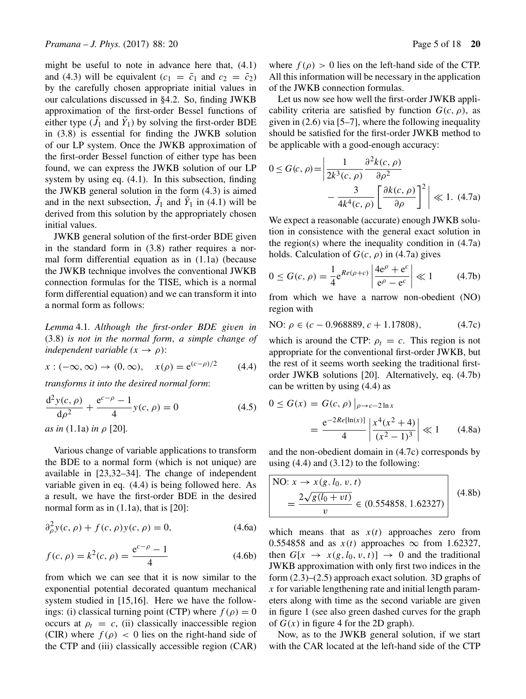might be useful to note in advance here that, (4.1) and (4.3) will be equivalent ( $c_1 = \tilde{c}_1$  and  $c_2 = \tilde{c}_2$ ) by the carefully chosen appropriate initial values in our calculations discussed in §4.2. So, finding JWKB approximation of the first-order Bessel functions of either type  $(J_1 \text{ and } Y_1)$  by solving the first-order BDE in (3.8) is essential for finding the JWKB solution of our LP system. Once the JWKB approximation of the first-order Bessel function of either type has been found, we can express the JWKB solution of our LP system by using eq. (4.1). In this subsection, finding the JWKB general solution in the form (4.3) is aimed and in the next subsection,  $\tilde{J}_1$  and  $\tilde{Y}_1$  in (4.1) will be derived from this solution by the appropriately chosen initial values.

JWKB general solution of the first-order BDE given in the standard form in (3.8) rather requires a normal form differential equation as in (1.1a) (because the JWKB technique involves the conventional JWKB connection formulas for the TISE, which is a normal form differential equation) and we can transform it into a normal form as follows:

*Lemma* 4.1*. Although the first-order BDE gi*v*en in* (3.8) *is not in the normal form*, *a simple change of independent variable*  $(x \rightarrow \rho)$ *:* 

$$
x: (-\infty, \infty) \to (0, \infty), \quad x(\rho) = e^{(c-\rho)/2}
$$
 (4.4)

*transforms it into the desired normal form*:

$$
\frac{d^2 y(c, \rho)}{d\rho^2} + \frac{e^{c-\rho} - 1}{4} y(c, \rho) = 0
$$
 (4.5)

*as in* (1.1a) *in* ρ [20]*.*

Various change of variable applications to transform the BDE to a normal form (which is not unique) are available in [23,32–34]. The change of independent variable given in eq. (4.4) is being followed here. As a result, we have the first-order BDE in the desired normal form as in  $(1.1a)$ , that is [20]:

$$
\partial_{\rho}^{2} y(c, \rho) + f(c, \rho) y(c, \rho) = 0, \qquad (4.6a)
$$

$$
f(c, \rho) = k^2(c, \rho) = \frac{e^{c-\rho} - 1}{4}
$$
 (4.6b)

from which we can see that it is now similar to the exponential potential decorated quantum mechanical system studied in [15,16]. Here we have the followings: (i) classical turning point (CTP) where  $f(\rho) = 0$ occurs at  $\rho_t = c$ , (ii) classically inaccessible region (CIR) where  $f(\rho) < 0$  lies on the right-hand side of the CTP and (iii) classically accessible region (CAR) where  $f(\rho) > 0$  lies on the left-hand side of the CTP. All this information will be necessary in the application of the JWKB connection formulas.

Let us now see how well the first-order JWKB applicability criteria are satisfied by function  $G(c, \rho)$ , as given in  $(2.6)$  via [5–7], where the following inequality should be satisfied for the first-order JWKB method to be applicable with a good-enough accuracy:

$$
0 \le G(c, \rho) = \left| \frac{1}{2k^3(c, \rho)} \frac{\partial^2 k(c, \rho)}{\partial \rho^2} - \frac{3}{4k^4(c, \rho)} \left[ \frac{\partial k(c, \rho)}{\partial \rho} \right]^2 \right| \ll 1. \tag{4.7a}
$$

We expect a reasonable (accurate) enough JWKB solution in consistence with the general exact solution in the region(s) where the inequality condition in  $(4.7a)$ holds. Calculation of  $G(c, \rho)$  in (4.7a) gives

$$
0 \le G(c,\rho) = \frac{1}{4} e^{Re(\rho + c)} \left| \frac{4e^{\rho} + e^c}{e^{\rho} - e^c} \right| \ll 1 \quad (4.7b)
$$

from which we have a narrow non-obedient (NO) region with

NO: 
$$
\rho \in (c - 0.968889, c + 1.17808),
$$
 (4.7c)

which is around the CTP:  $\rho_t = c$ . This region is not appropriate for the conventional first-order JWKB, but the rest of it seems worth seeking the traditional firstorder JWKB solutions [20]. Alternatively, eq. (4.7b) can be written by using (4.4) as

$$
0 \le G(x) = G(c, \rho) \Big|_{\rho \to c-2 \ln x}
$$
  
= 
$$
\frac{e^{-2Re[\ln(x)]}}{4} \Big| \frac{x^4(x^2 + 4)}{(x^2 - 1)^3} \Big| \ll 1
$$
 (4.8a)

and the non-obedient domain in (4.7c) corresponds by using  $(4.4)$  and  $(3.12)$  to the following:

NO: 
$$
x \to x(g, l_0, v, t)
$$
  
=  $\frac{2\sqrt{g(l_0 + vt)}}{v} \in (0.554858, 1.62327)$  (4.8b)

which means that as  $x(t)$  approaches zero from 0.554858 and as  $x(t)$  approaches  $\infty$  from 1.62327, then  $G[x \rightarrow x(g, l_0, v, t)] \rightarrow 0$  and the traditional JWKB approximation with only first two indices in the form (2.3)–(2.5) approach exact solution. 3D graphs of x for variable lengthening rate and initial length parameters along with time as the second variable are given in figure 1 (see also green dashed curves for the graph of  $G(x)$  in figure 4 for the 2D graph).

Now, as to the JWKB general solution, if we start with the CAR located at the left-hand side of the CTP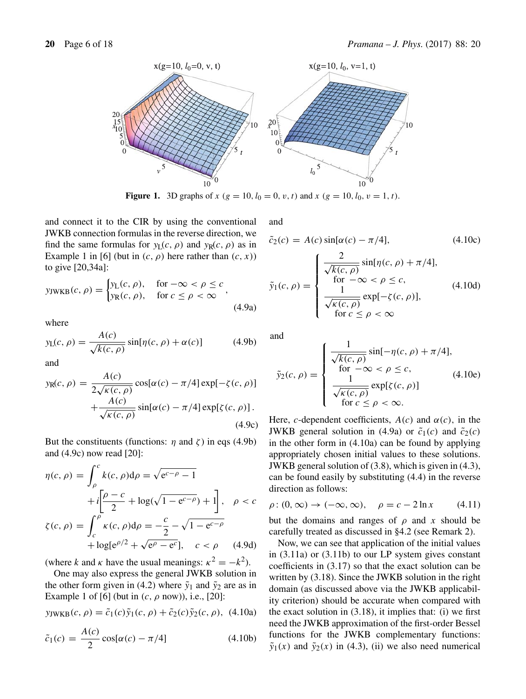

**Figure 1.** 3D graphs of  $x (g = 10, l_0 = 0, v, t)$  and  $x (g = 10, l_0, v = 1, t)$ .

and connect it to the CIR by using the conventional JWKB connection formulas in the reverse direction, we find the same formulas for  $y_L(c, \rho)$  and  $y_R(c, \rho)$  as in Example 1 in [6] (but in  $(c, \rho)$  here rather than  $(c, x)$ ) to give [20,34a]:

$$
y_{\text{JWKB}}(c, \rho) = \begin{cases} y_{\text{L}}(c, \rho), & \text{for } -\infty < \rho \le c \\ y_{\text{R}}(c, \rho), & \text{for } c \le \rho < \infty \end{cases}, \tag{4.9a}
$$

where

$$
y_{\mathcal{L}}(c,\rho) = \frac{A(c)}{\sqrt{k(c,\rho)}} \sin[\eta(c,\rho) + \alpha(c)] \tag{4.9b}
$$

and

$$
y_{R}(c, \rho) = \frac{A(c)}{2\sqrt{\kappa(c, \rho)}} \cos[\alpha(c) - \pi/4] \exp[-\zeta(c, \rho)] + \frac{A(c)}{\sqrt{\kappa(c, \rho)}} \sin[\alpha(c) - \pi/4] \exp[\zeta(c, \rho)].
$$
\n(4.9c)

But the constituents (functions:  $η$  and  $ζ$ ) in eqs (4.9b) and (4.9c) now read [20]:

$$
\eta(c,\rho) = \int_{\rho}^{c} k(c,\rho)d\rho = \sqrt{e^{c-\rho}-1}
$$

$$
+ i\left[\frac{\rho-c}{2} + \log(\sqrt{1-e^{c-\rho}}) + 1\right], \quad \rho < c
$$

$$
\zeta(c,\rho) = \int_{c}^{\rho} \kappa(c,\rho)d\rho = -\frac{c}{2} - \sqrt{1-e^{c-\rho}}
$$

$$
+ \log[e^{\rho/2} + \sqrt{e^{\rho}-e^{c}}], \quad c < \rho \quad (4.9d)
$$

(where k and k have the usual meanings:  $\kappa^2 = -k^2$ ).

One may also express the general JWKB solution in the other form given in (4.2) where  $\tilde{y}_1$  and  $\tilde{y}_2$  are as in Example 1 of [6] (but in  $(c, \rho \text{ now})$ ), i.e., [20]:

$$
y_{\text{JWKB}}(c, \rho) = \tilde{c}_1(c)\tilde{y}_1(c, \rho) + \tilde{c}_2(c)\tilde{y}_2(c, \rho),
$$
 (4.10a)

$$
\tilde{c}_1(c) = \frac{A(c)}{2} \cos[\alpha(c) - \pi/4]
$$
\n(4.10b)

and

$$
\tilde{c}_2(c) = A(c) \sin[\alpha(c) - \pi/4],\tag{4.10c}
$$
\n
$$
\tilde{y}_1(c, \rho) = \begin{cases}\n\frac{2}{\sqrt{k(c, \rho)}} \sin[\eta(c, \rho) + \pi/4],\\
\text{for } -\infty < \rho \le c,\\
\frac{1}{\sqrt{k(c, \rho)}} \exp[-\zeta(c, \rho)],\\
\text{for } c \le \rho < \infty\n\end{cases}\n\tag{4.10d}
$$

and

$$
\tilde{y}_2(c,\rho) = \begin{cases}\n\frac{1}{\sqrt{k(c,\rho)}} \sin[-\eta(c,\rho) + \pi/4],\\
\text{for } -\infty < \rho \le c,\\
\frac{1}{\sqrt{k(c,\rho)}} \exp[\zeta(c,\rho)]\\
\text{for } c \le \rho < \infty.\n\end{cases} \tag{4.10e}
$$

Here, c-dependent coefficients,  $A(c)$  and  $\alpha(c)$ , in the JWKB general solution in (4.9a) or  $\tilde{c}_1(c)$  and  $\tilde{c}_2(c)$ in the other form in (4.10a) can be found by applying appropriately chosen initial values to these solutions. JWKB general solution of (3.8), which is given in (4.3), can be found easily by substituting (4.4) in the reverse direction as follows:

$$
\rho: (0, \infty) \to (-\infty, \infty), \quad \rho = c - 2\ln x \tag{4.11}
$$

but the domains and ranges of  $\rho$  and x should be carefully treated as discussed in §4.2 (see Remark 2).

Now, we can see that application of the initial values in (3.11a) or (3.11b) to our LP system gives constant coefficients in (3.17) so that the exact solution can be written by  $(3.18)$ . Since the JWKB solution in the right domain (as discussed above via the JWKB applicability criterion) should be accurate when compared with the exact solution in  $(3.18)$ , it implies that: (i) we first need the JWKB approximation of the first-order Bessel functions for the JWKB complementary functions:  $\tilde{y}_1(x)$  and  $\tilde{y}_2(x)$  in (4.3), (ii) we also need numerical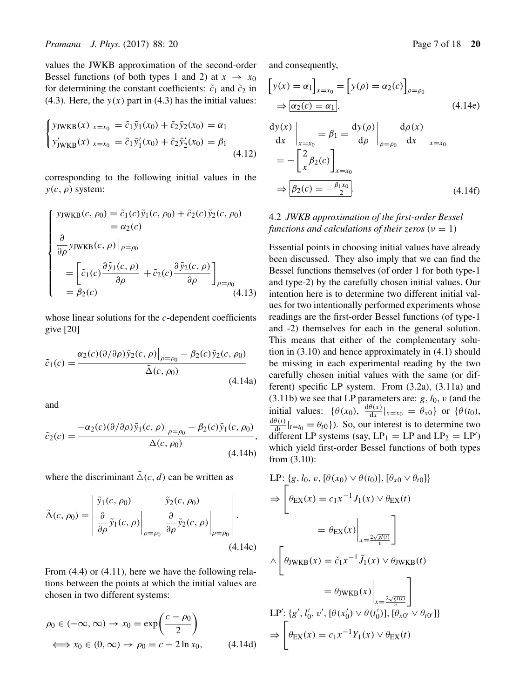values the JWKB approximation of the second-order Bessel functions (of both types 1 and 2) at  $x \to x_0$ for determining the constant coefficients:  $\tilde{c}_1$  and  $\tilde{c}_2$  in (4.3). Here, the  $y(x)$  part in (4.3) has the initial values:

$$
\begin{cases}\n\text{yjwKB}(x)|_{x=x_0} = \tilde{c}_1 \tilde{y}_1(x_0) + \tilde{c}_2 \tilde{y}_2(x_0) = \alpha_1 \\
\text{y'_{jwKB}}(x)|_{x=x_0} = \tilde{c}_1 \tilde{y}'_1(x_0) + \tilde{c}_2 \tilde{y}'_2(x_0) = \beta_1\n\end{cases} (4.12)
$$

corresponding to the following initial values in the  $y(c, \rho)$  system:

$$
\begin{cases}\n\text{YJWKB}(c, \rho_0) = \tilde{c}_1(c)\tilde{y}_1(c, \rho_0) + \tilde{c}_2(c)\tilde{y}_2(c, \rho_0) \\
= \alpha_2(c) \\
\frac{\partial}{\partial \rho} \text{YJWKB}(c, \rho) \big|_{\rho = \rho_0} \\
= \left[ \tilde{c}_1(c) \frac{\partial \tilde{y}_1(c, \rho)}{\partial \rho} + \tilde{c}_2(c) \frac{\partial \tilde{y}_2(c, \rho)}{\partial \rho} \right]_{\rho = \rho_0} \\
= \beta_2(c) \tag{4.13}\n\end{cases}
$$

whose linear solutions for the c-dependent coefficients give [20]

$$
\tilde{c}_1(c) = \frac{\alpha_2(c)(\partial/\partial \rho)\tilde{y}_2(c,\rho)|_{\rho=\rho_0} - \beta_2(c)\tilde{y}_2(c,\rho_0)}{\tilde{\Delta}(c,\rho_0)}
$$
\n(4.14a)

and

$$
\tilde{c}_2(c) = \frac{-\alpha_2(c)(\partial/\partial \rho)\tilde{y}_1(c,\rho)|_{\rho=\rho_0} - \beta_2(c)\tilde{y}_1(c,\rho_0)}{\Delta(c,\rho_0)},
$$
\n(4.14b)

where the discriminant  $\tilde{\Delta}(c, d)$  can be written as

$$
\tilde{\Delta}(c, \rho_0) = \begin{vmatrix} \tilde{y}_1(c, \rho_0) & \tilde{y}_2(c, \rho_0) \\ \frac{\partial}{\partial \rho} \tilde{y}_1(c, \rho) & \frac{\partial}{\partial \rho} \tilde{y}_2(c, \rho) \\ \end{vmatrix}_{\rho = \rho_0} .
$$
\n(4.14c)

From  $(4.4)$  or  $(4.11)$ , here we have the following relations between the points at which the initial values are chosen in two different systems:

$$
\rho_0 \in (-\infty, \infty) \to x_0 = \exp\left(\frac{c - \rho_0}{2}\right)
$$
  

$$
\iff x_0 \in (0, \infty) \to \rho_0 = c - 2\ln x_0,
$$
 (4.14d)

and consequently,

$$
\begin{aligned}\n\left[y(x) = \alpha_1\right]_{x=x_0} &= \left[y(\rho) = \alpha_2(c)\right]_{\rho=\rho_0} \\
\Rightarrow \boxed{\alpha_2(c) = \alpha_1}, \\
\frac{dy(x)}{dx}\Big|_{x=x_0} &= \beta_1 = \frac{dy(\rho)}{d\rho}\Big|_{\rho=\rho_0} \frac{d\rho(x)}{dx}\Big|_{x=x_0} \\
&= -\left[\frac{2}{x}\beta_2(c)\right]_{x=x_0} \\
\Rightarrow \boxed{\beta_2(c) = -\frac{\beta_1 x_0}{2}}.\n\end{aligned} \tag{4.14f}
$$

# 4.2 *JWKB approximation of the first-order Bessel functions and calculations of their zeros* ( $\nu = 1$ )

Essential points in choosing initial values have already been discussed. They also imply that we can find the Bessel functions themselves (of order 1 for both type-1 and type-2) by the carefully chosen initial values. Our intention here is to determine two different initial values for two intentionally performed experiments whose readings are the first-order Bessel functions (of type-1 and -2) themselves for each in the general solution. This means that either of the complementary solution in (3.10) and hence approximately in (4.1) should be missing in each experimental reading by the two carefully chosen initial values with the same (or different) specific LP system. From (3.2a), (3.11a) and (3.11b) we see that LP parameters are:  $g, l_0, v$  (and the initial values:  $\{\theta(x_0), \frac{d\theta(x)}{dx}|_{x=x_0} = \theta_{x_0}\}\$  or  $\{\theta(t_0), \frac{d\theta(t)}{dx}|_{x=x_0} = \theta_{x_0}\}\$  $\frac{d\theta(t)}{dt}|_{t=t_0} = \theta_{t0}$ ). So, our interest is to determine two different LP systems (say,  $LP_1 = LP$  and  $LP_2 = LP'$ ) which yield first-order Bessel functions of both types from (3.10):

$$
LP: \{g, l_0, v, [\theta(x_0) \vee \theta(t_0)], [\theta_{x_0} \vee \theta_{t_0}]\}
$$
  
\n
$$
\Rightarrow \left[\theta_{EX}(x) = c_1 x^{-1} J_1(x) \vee \theta_{EX}(t)\right]
$$
  
\n
$$
= \theta_{EX}(x)\Big|_{x = \frac{2\sqrt{gl(t)}}{v}}\right]
$$
  
\n
$$
\wedge \left[\theta_{JWKB}(x) = \tilde{c}_1 x^{-1} \tilde{J}_1(x) \vee \theta_{JWKB}(t)\right]
$$
  
\n
$$
= \theta_{JWKB}(x)\Big|_{x = \frac{2\sqrt{gl(t)}}{v}}\Big]
$$
  
\n
$$
LP': \{g', l'_0, v', [\theta(x'_0) \vee \theta(t'_0)], [\theta_{x_0} \vee \theta_{t_0}]\}
$$
  
\n
$$
\Rightarrow \left[\theta_{EX}(x) = c_1 x^{-1} Y_1(x) \vee \theta_{EX}(t)\right]
$$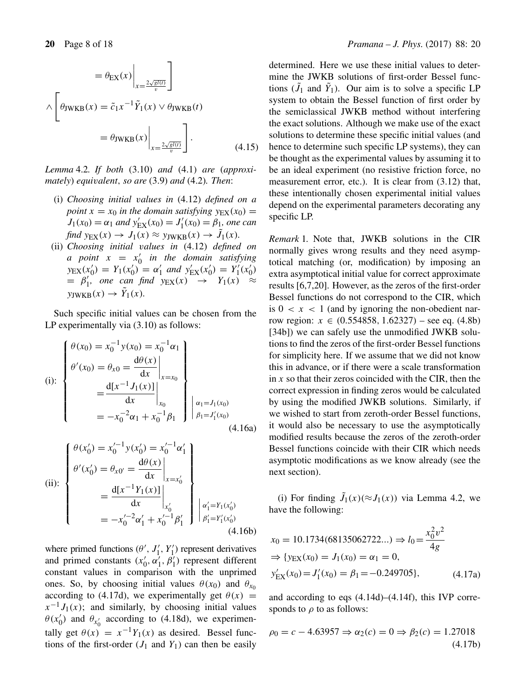$$
= \theta_{\text{EX}}(x) \Big|_{x = \frac{2\sqrt{gl(t)}}{v}} \Bigg]
$$
  

$$
\wedge \left[ \theta_{\text{JWKB}}(x) = \tilde{c}_1 x^{-1} \tilde{Y}_1(x) \vee \theta_{\text{JWKB}}(t) \right]
$$
  

$$
= \theta_{\text{JWKB}}(x) \Big|_{x = \frac{2\sqrt{gl(t)}}{v}} \Bigg].
$$
 (4.15)

*Lemma* 4.2*. If both* (3.10) *and* (4.1) *are* (*approximately*) *equi*v*alent*, *so are* (3.9) *and* (4.2)*. Then*:

- (i) *Choosing initial* v*alues in* (4.12) *defined on a point*  $x = x_0$  *in the domain satisfying*  $y_{EX}(x_0) =$  $J_1(x_0) = \alpha_1$  and  $y'_{EX}(x_0) = J'_1(x_0) = \beta_1$ , one can  $\text{find } y_{\text{EX}}(x) \to J_1(x) \approx y_{\text{JWKB}}(x) \to J_1(x)$ .
- (ii) *Choosing initial* v*alues in* (4.12) *defined on a* point  $x = x'_0$  in the domain satisfying  $y_{\text{EX}}(x_0') = Y_1(x_0') = \alpha_1'$  and  $y_{\text{EX}}'(x_0') = Y_1'(x_0')$  $= \beta'_1$ , one can find  $y_{EX}(x) \rightarrow Y_1(x) \approx$  $y_{\text{JWKB}}(x) \rightarrow Y_1(x)$ .

Such specific initial values can be chosen from the LP experimentally via (3.10) as follows:

(i):  
\n
$$
\begin{cases}\n\theta(x_0) = x_0^{-1} y(x_0) = x_0^{-1} \alpha_1 \\
\theta'(x_0) = \theta_{x0} = \frac{d\theta(x)}{dx}\Big|_{x=x_0} \\
= \frac{d[x^{-1} J_1(x)]}{dx}\Big|_{x_0} \\
= -x_0^{-2} \alpha_1 + x_0^{-1} \beta_1\n\end{cases}\bigg|_{\beta_1 = J_1'(x_0)} \alpha_1 = J_1(x_0)
$$
\n(4.16a)

(ii):  
\n
$$
\begin{cases}\n\theta(x'_0) = x'_0^{-1} y(x'_0) = x'_0^{-1} \alpha'_1 \\
\theta'(x'_0) = \theta_{x0'} = \frac{d\theta(x)}{dx}\Big|_{x=x'_0} \\
= \frac{d[x^{-1}Y_1(x)]}{dx}\Big|_{x'_0} \\
= -x'_0^{-2} \alpha'_1 + x'_0^{-1} \beta'_1\n\end{cases}\bigg|_{\begin{subarray}{l} \alpha'_1 = Y_1(x'_0) \\
\beta'_1 = Y'_1(x'_0) \\
(4.16b)\n\end{subarray}}
$$

where primed functions  $(\theta', J'_1, Y'_1)$  represent derivatives and primed constants  $(x'_0, \alpha'_1, \beta'_1)$  represent different constant values in comparison with the unprimed ones. So, by choosing initial values  $\theta(x_0)$  and  $\theta_{x_0}$ according to (4.17d), we experimentally get  $\theta(x)$  =  $x^{-1}J_1(x)$ ; and similarly, by choosing initial values  $\theta(x'_0)$  and  $\theta_{x'_0}$  according to (4.18d), we experimentally get  $\theta(x) = x^{-1}Y_1(x)$  as desired. Bessel functions of the first-order  $(J_1 \text{ and } Y_1)$  can then be easily

determined. Here we use these initial values to determine the JWKB solutions of first-order Bessel functions  $(J_1 \text{ and } Y_1)$ . Our aim is to solve a specific LP system to obtain the Bessel function of first order by the semiclassical JWKB method without interfering the exact solutions. Although we make use of the exact solutions to determine these specific initial values (and hence to determine such specific LP systems), they can be thought as the experimental values by assuming it to be an ideal experiment (no resistive friction force, no measurement error, etc.). It is clear from (3.12) that, these intentionally chosen experimental initial values depend on the experimental parameters decorating any specific LP.

*Remark* 1*.* Note that, JWKB solutions in the CIR normally gives wrong results and they need asymptotical matching (or, modification) by imposing an extra asymptotical initial value for correct approximate results [6,7,20]. However, as the zeros of the first-order Bessel functions do not correspond to the CIR, which is  $0 < x < 1$  (and by ignoring the non-obedient narrow region:  $x \in (0.554858, 1.62327)$  – see eq.  $(4.8b)$ [34b]) we can safely use the unmodified JWKB solutions to find the zeros of the first-order Bessel functions for simplicity here. If we assume that we did not know this in advance, or if there were a scale transformation in  $x$  so that their zeros coincided with the CIR, then the correct expression in finding zeros would be calculated by using the modified JWKB solutions. Similarly, if we wished to start from zeroth-order Bessel functions, it would also be necessary to use the asymptotically modified results because the zeros of the zeroth-order Bessel functions coincide with their CIR which needs asymptotic modifications as we know already (see the next section).

(i) For finding  $J_1(x)$ ( $\approx J_1(x)$ ) via Lemma 4.2, we have the following:

$$
x_0 = 10.1734(68135062722...) \Rightarrow l_0 = \frac{x_0^2 v^2}{4g}
$$
  
\n
$$
\Rightarrow \{y_{EX}(x_0) = J_1(x_0) = \alpha_1 = 0,
$$
  
\n
$$
y'_{EX}(x_0) = J'_1(x_0) = \beta_1 = -0.249705\},
$$
\n(4.17a)

and according to eqs (4.14d)–(4.14f), this IVP corresponds to  $\rho$  to as follows:

$$
\rho_0 = c - 4.63957 \Rightarrow \alpha_2(c) = 0 \Rightarrow \beta_2(c) = 1.27018
$$
\n(4.17b)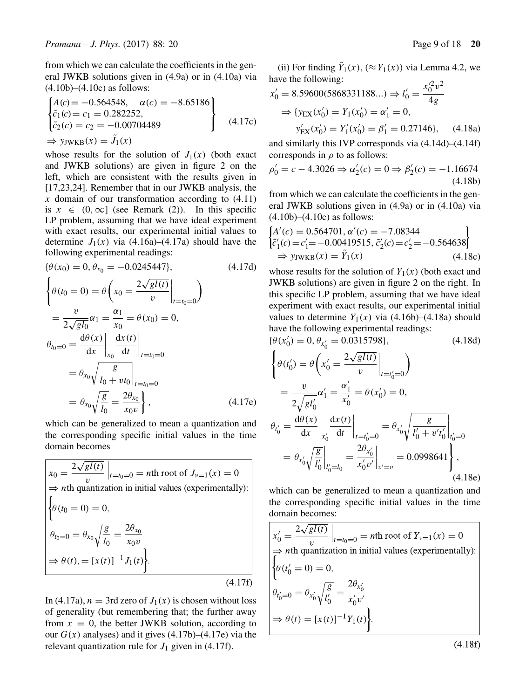from which we can calculate the coefficients in the general JWKB solutions given in (4.9a) or in (4.10a) via  $(4.10b)$ – $(4.10c)$  as follows:

$$
\begin{cases}\nA(c) = -0.564548, & \alpha(c) = -8.65186 \\
\tilde{c}_1(c) = c_1 = 0.282252, \\
\tilde{c}_2(c) = c_2 = -0.00704489 \\
\Rightarrow y_{\text{JWKB}}(x) = \tilde{J}_1(x)\n\end{cases}
$$
\n(4.17c)

whose results for the solution of  $J_1(x)$  (both exact and JWKB solutions) are given in figure 2 on the left, which are consistent with the results given in [17,23,24]. Remember that in our JWKB analysis, the x domain of our transformation according to  $(4.11)$ is  $x \in (0, \infty]$  (see Remark (2)). In this specific LP problem, assuming that we have ideal experiment with exact results, our experimental initial values to determine  $J_1(x)$  via (4.16a)–(4.17a) should have the following experimental readings:

$$
\{\theta(x_0) = 0, \theta_{x_0} = -0.0245447\},\qquad(4.17d)
$$
\n
$$
\begin{cases}\n\theta(t_0 = 0) = \theta\left(x_0 = \frac{2\sqrt{gl(t)}}{v}\Big|_{t=t_0=0}\right) \\
= \frac{v}{2\sqrt{gl_0}}\alpha_1 = \frac{\alpha_1}{x_0} = \theta(x_0) = 0, \\
\theta_{t_0=0} = \frac{d\theta(x)}{dx}\Big|_{x_0} \frac{dx(t)}{dt}\Big|_{t=t_0=0} \\
= \theta_{x_0}\sqrt{\frac{g}{l_0 + vt_0}}\Big|_{t=t_0=0} \\
= \theta_{x_0}\sqrt{\frac{g}{l_0}} = \frac{2\theta_{x_0}}{x_0 v}\Big\},\qquad(4.17e)
$$

which can be generalized to mean a quantization and the corresponding specific initial values in the time domain becomes

$$
x_0 = \frac{2\sqrt{gl(t)}}{v} \Big|_{t=t_0=0} = n\text{th root of } J_{v=1}(x) = 0
$$
  
\n
$$
\Rightarrow n\text{th quantization in initial values (experimentally):}
$$
  
\n
$$
\left\{\theta(t_0=0) = 0,
$$
  
\n
$$
\theta_{t_0=0} = \theta_{x_0}\sqrt{\frac{g}{l_0}} = \frac{2\theta_{x_0}}{x_0 v}
$$
  
\n
$$
\Rightarrow \theta(t), = [x(t)]^{-1}J_1(t).
$$
  
\n(4.17f)

In (4.17a),  $n = 3$ rd zero of  $J_1(x)$  is chosen without loss of generality (but remembering that; the further away from  $x = 0$ , the better JWKB solution, according to our  $G(x)$  analyses) and it gives  $(4.17b)$ – $(4.17e)$  via the relevant quantization rule for  $J_1$  given in (4.17f).

(ii) For finding  $Y_1(x)$ ,  $(\approx Y_1(x))$  via Lemma 4.2, we have the following:  $0.2$ 

$$
x'_0 = 8.59600(5868331188...) ⇒ l'_0 = \frac{x'^2_0 v^2}{4g}
$$
  
\n⇒ {y<sub>EX</sub>(x'\_0) = Y<sub>1</sub>(x'\_0) = α'<sub>1</sub> = 0,  
\ny'<sub>EX</sub>(x'\_0) = Y'<sub>1</sub>(x'\_0) = β'<sub>1</sub> = 0.27146}, (4.18a)

and similarly this IVP corresponds via (4.14d)–(4.14f) corresponds in  $\rho$  to as follows:

$$
\rho_0' = c - 4.3026 \Rightarrow \alpha_2'(c) = 0 \Rightarrow \beta_2'(c) = -1.16674
$$
\n(4.18b)

from which we can calculate the coefficients in the general JWKB solutions given in (4.9a) or in (4.10a) via  $(4.10b)$ – $(4.10c)$  as follows:

$$
\begin{cases}\nA'(c) = 0.564701, \alpha'(c) = -7.08344 \\
\tilde{c}'_1(c) = c'_1 = -0.00419515, \tilde{c}'_2(c) = c'_2 = -0.564638\n\end{cases}
$$
\n
$$
\Rightarrow \text{y}_{\text{JWKB}}(x) = \tilde{Y}_1(x) \tag{4.18c}
$$

whose results for the solution of  $Y_1(x)$  (both exact and JWKB solutions) are given in figure 2 on the right. In this specific LP problem, assuming that we have ideal experiment with exact results, our experimental initial values to determine  $Y_1(x)$  via (4.16b)–(4.18a) should have the following experimental readings:

$$
\{\theta(x'_0) = 0, \theta_{x'_0} = 0.0315798\},\qquad(4.18d)
$$
\n
$$
\begin{cases}\n\theta(t'_0) = \theta\left(x'_0 = \frac{2\sqrt{gl(t)}}{v}\Big|_{t=t'_0=0}\right) \\
= \frac{v}{2\sqrt{gl_0'}}\alpha'_1 = \frac{\alpha'_1}{x'_0} = \theta(x'_0) = 0, \\
\theta_{t'_0} = \frac{d\theta(x)}{dx}\Big|_{x'_0} \frac{dx(t)}{dt}\Big|_{t=t'_0=0} = \theta_{x'_0}\sqrt{\frac{g}{l'_0 + v't'_0}}\Big|_{t'_0=0} \\
= \theta_{x'_0}\sqrt{\frac{g}{l'_0}}\Big|_{l'_0=l_0} = \frac{2\theta_{x'_0}}{x'_0v'}\Big|_{v'=v} = 0.0998641\right\},\n\end{cases}
$$
\n(4.18e)

which can be generalized to mean a quantization and the corresponding specific initial values in the time domain becomes:

$$
x'_0 = \frac{2\sqrt{gl(t)}}{v} \Big|_{t=t_0=0} = n\text{th root of } Y_{v=1}(x) = 0
$$
  
\n
$$
\Rightarrow n\text{th quantization in initial values (experimentally):}
$$
  
\n
$$
\begin{cases}\n\theta(t'_0 = 0) = 0, \\
\theta_{t'_0=0} = \theta_{x'_0} \sqrt{\frac{g}{l'_0}} = \frac{2\theta_{x'_0}}{x'_0 v'} \\
\Rightarrow \theta(t) = [x(t)]^{-1} Y_1(t)\n\end{cases}
$$

 $(4.18f)$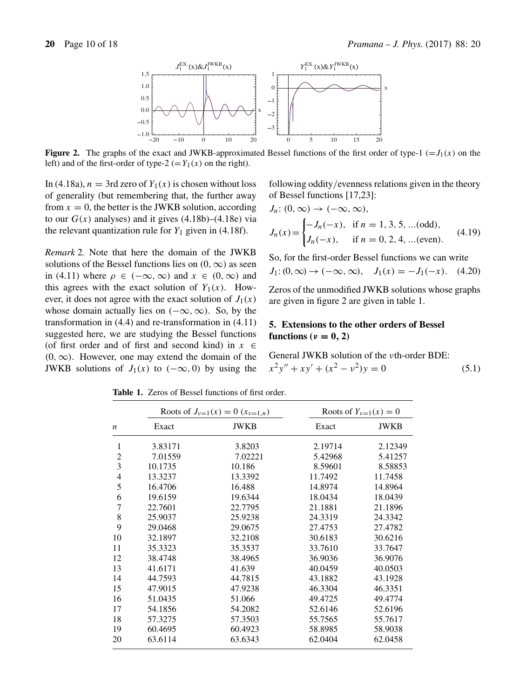

**Figure 2.** The graphs of the exact and JWKB-approximated Bessel functions of the first order of type-1 ( $=J_1(x)$ ) on the left) and of the first-order of type-2 (=  $Y_1(x)$  on the right).

In (4.18a),  $n = 3$ rd zero of  $Y_1(x)$  is chosen without loss of generality (but remembering that, the further away from  $x = 0$ , the better is the JWKB solution, according to our  $G(x)$  analyses) and it gives  $(4.18b)$ – $(4.18e)$  via the relevant quantization rule for  $Y_1$  given in (4.18f).

*Remark* 2*.* Note that here the domain of the JWKB solutions of the Bessel functions lies on  $(0, \infty)$  as seen in (4.11) where  $\rho \in (-\infty, \infty)$  and  $x \in (0, \infty)$  and this agrees with the exact solution of  $Y_1(x)$ . However, it does not agree with the exact solution of  $J_1(x)$ whose domain actually lies on  $(-\infty, \infty)$ . So, by the transformation in (4.4) and re-transformation in (4.11) suggested here, we are studying the Bessel functions (of first order and of first and second kind) in  $x \in$  $(0, \infty)$ . However, one may extend the domain of the JWKB solutions of  $J_1(x)$  to  $(-\infty, 0)$  by using the

following oddity/evenness relations given in the theory of Bessel functions [17,23]:

$$
J_n: (0, \infty) \to (-\infty, \infty),
$$
  
\n
$$
J_n(x) = \begin{cases} -J_n(-x), & \text{if } n = 1, 3, 5, \dots (\text{odd}), \\ J_n(-x), & \text{if } n = 0, 2, 4, \dots (\text{even}). \end{cases}
$$
\n(4.19)

So, for the first-order Bessel functions we can write  $J_1: (0, \infty) \to (-\infty, \infty)$ ,  $J_1(x) = -J_1(-x)$ . (4.20)

Zeros of the unmodified JWKB solutions whose graphs are given in figure 2 are given in table 1.

# **5. Extensions to the other orders of Bessel functions**  $(\nu = 0, 2)$

General JWKB solution of the νth-order BDE:  $x^{2}y'' + xy' + (x^{2} - y^{2})y = 0$  (5.1)

Roots of  $J_{\nu=1}(x) = 0$   $(x_{\nu=1,n})$  Roots of  $Y_{\nu=1}(x) = 0$ n Exact JWKB Exact JWKB 1 3.83171 3.8203 2.19714 2.12349 2 7.01559 7.02221 5.42968 5.41257 3 10.1735 10.186 8.59601 8.58853 4 13.3237 13.3392 11.7492 11.7458 5 16.4706 16.488 14.8974 14.8964 6 19.6159 19.6344 18.0434 18.0439 7 22.7601 22.7795 21.1881 21.1896 8 25.9037 25.9238 24.3319 24.3342 9 29.0468 29.0675 27.4753 27.4782 10 32.1897 32.2108 30.6183 30.6216 11 35.3323 35.3537 33.7610 33.7647 12 38.4748 38.4965 36.9036 36.9076 13 41.6171 41.639 40.0459 40.0503 14 44.7593 44.7815 43.1882 43.1928 15 47.9015 47.9238 46.3304 46.3351 16 51.0435 51.066 49.4725 49.4774 17 54.1856 54.2082 52.6146 52.6196 18 57.3275 57.3503 55.7565 55.7617 19 60.4695 60.4923 58.8985 58.9038 20 63.6114 63.6343 62.0404 62.0458

**Table 1.** Zeros of Bessel functions of first order.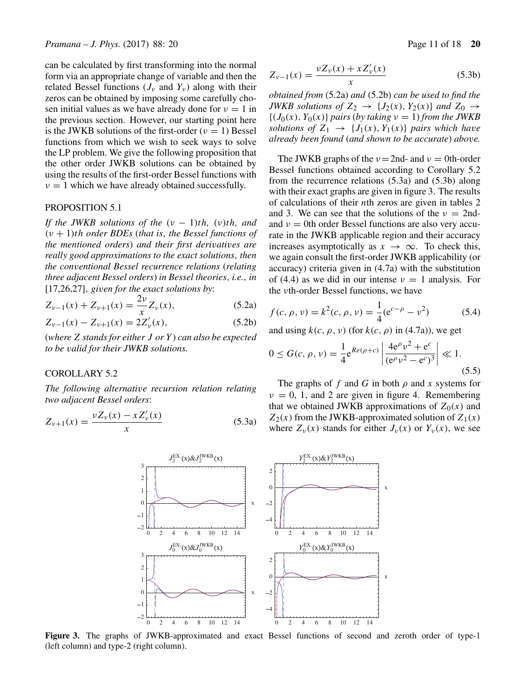can be calculated by first transforming into the normal form via an appropriate change of variable and then the related Bessel functions  $(J_v \text{ and } Y_v)$  along with their zeros can be obtained by imposing some carefully chosen initial values as we have already done for  $v = 1$  in the previous section. However, our starting point here is the JWKB solutions of the first-order ( $\nu = 1$ ) Bessel functions from which we wish to seek ways to solve the LP problem. We give the following proposition that the other order JWKB solutions can be obtained by using the results of the first-order Bessel functions with  $\nu = 1$  which we have already obtained successfully.

#### PROPOSITION 5.1

*If the JWKB solutions of the*  $(v - 1)$ *th*,  $(v)$ *th*, and (ν + 1)th *order BDEs* (*that is*, *the Bessel functions of the mentioned orders*) *and their first deri*v*ati*v*es are really good approximations to the exact solutions*, *then the con*v*entional Bessel recurrence relations* (*relating three adjacent Bessel orders*) *in Bessel theories*, *i.e.*, *in* [17,26,27], *gi*v*en for the exact solutions by*:

$$
Z_{\nu-1}(x) + Z_{\nu+1}(x) = \frac{2\nu}{x} Z_{\nu}(x),
$$
 (5.2a)

$$
Z_{\nu-1}(x) - Z_{\nu+1}(x) = 2Z'_{\nu}(x),
$$
\n(5.2b)

(*where* Z *stands for either* J *or* Y ) *can also be expected to be* v*alid for their JWKB solutions.*

## COROLLARY 5.2

*The following alternati*v*e recursion relation relating two adjacent Bessel orders*:

$$
Z_{\nu+1}(x) = \frac{\nu Z_{\nu}(x) - x Z_{\nu}'(x)}{x}
$$
 (5.3a)

$$
Z_{\nu-1}(x) = \frac{\nu Z_{\nu}(x) + x Z_{\nu}'(x)}{x}
$$
 (5.3b)

*obtained from* (5.2a) *and* (5.2b) *can be used to find the JWKB solutions of*  $Z_2 \rightarrow \{J_2(x), Y_2(x)\}\$  *and*  $Z_0 \rightarrow$  ${(J_0(x), Y_0(x))}$  *pairs* (*by taking*  $\nu = 1)$  *from the JWKB solutions of*  $Z_1 \rightarrow \{J_1(x), Y_1(x)\}$  *pairs which have already been found* (*and shown to be accurate*) *abo*v*e.*

The JWKB graphs of the  $v = 2$ nd- and  $v = 0$ th-order Bessel functions obtained according to Corollary 5.2 from the recurrence relations (5.3a) and (5.3b) along with their exact graphs are given in figure 3. The results of calculations of their nth zeros are given in tables 2 and 3. We can see that the solutions of the  $\nu = 2nd$ and  $\nu = 0$ th order Bessel functions are also very accurate in the JWKB applicable region and their accuracy increases asymptotically as  $x \to \infty$ . To check this, we again consult the first-order JWKB applicability (or accuracy) criteria given in (4.7a) with the substitution of (4.4) as we did in our intense  $\nu = 1$  analysis. For the νth-order Bessel functions, we have

$$
f(c, \rho, \nu) = k^2(c, \rho, \nu) = \frac{1}{4} (e^{c-\rho} - \nu^2)
$$
 (5.4)

and using  $k(c, \rho, \nu)$  (for  $k(c, \rho)$  in (4.7a)), we get

$$
0 \le G(c, \rho, \nu) = \frac{1}{4} e^{Re(\rho + c)} \left| \frac{4e^{\rho} \nu^2 + e^c}{(e^{\rho} \nu^2 - e^c)^3} \right| \ll 1.
$$
\n(5.5)

The graphs of f and G in both  $\rho$  and x systems for  $v = 0$ , 1, and 2 are given in figure 4. Remembering that we obtained JWKB approximations of  $Z_0(x)$  and  $Z_2(x)$  from the JWKB-approximated solution of  $Z_1(x)$ where  $Z_{\nu}(x)$  stands for either  $J_{\nu}(x)$  or  $Y_{\nu}(x)$ , we see



**Figure 3.** The graphs of JWKB-approximated and exact Bessel functions of second and zeroth order of type-1 (left column) and type-2 (right column).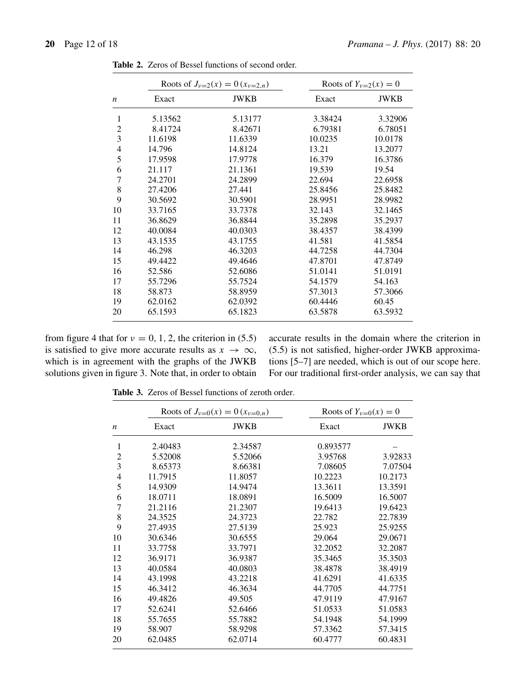|                  | Roots of $J_{\nu=2}(x) = 0$ $(x_{\nu=2,n})$ |             | Roots of $Y_{v=2}(x) = 0$ |             |
|------------------|---------------------------------------------|-------------|---------------------------|-------------|
| $\boldsymbol{n}$ | Exact                                       | <b>JWKB</b> | Exact                     | <b>JWKB</b> |
| 1                | 5.13562                                     | 5.13177     | 3.38424                   | 3.32906     |
| $\overline{2}$   | 8.41724                                     | 8.42671     | 6.79381                   | 6.78051     |
| 3                | 11.6198                                     | 11.6339     | 10.0235                   | 10.0178     |
| $\overline{4}$   | 14.796                                      | 14.8124     | 13.21                     | 13.2077     |
| 5                | 17.9598                                     | 17.9778     | 16.379                    | 16.3786     |
| 6                | 21.117                                      | 21.1361     | 19.539                    | 19.54       |
| 7                | 24.2701                                     | 24.2899     | 22.694                    | 22.6958     |
| 8                | 27.4206                                     | 27.441      | 25.8456                   | 25.8482     |
| 9                | 30.5692                                     | 30.5901     | 28.9951                   | 28.9982     |
| 10               | 33.7165                                     | 33.7378     | 32.143                    | 32.1465     |
| 11               | 36.8629                                     | 36.8844     | 35.2898                   | 35.2937     |
| 12               | 40.0084                                     | 40.0303     | 38.4357                   | 38.4399     |
| 13               | 43.1535                                     | 43.1755     | 41.581                    | 41.5854     |
| 14               | 46.298                                      | 46.3203     | 44.7258                   | 44.7304     |
| 15               | 49.4422                                     | 49.4646     | 47.8701                   | 47.8749     |
| 16               | 52.586                                      | 52.6086     | 51.0141                   | 51.0191     |
| 17               | 55.7296                                     | 55.7524     | 54.1579                   | 54.163      |
| 18               | 58.873                                      | 58.8959     | 57.3013                   | 57.3066     |
| 19               | 62.0162                                     | 62.0392     | 60.4446                   | 60.45       |
| 20               | 65.1593                                     | 65.1823     | 63.5878                   | 63.5932     |

**Table 2.** Zeros of Bessel functions of second order.

from figure 4 that for  $v = 0, 1, 2$ , the criterion in (5.5) is satisfied to give more accurate results as  $x \to \infty$ , which is in agreement with the graphs of the JWKB solutions given in figure 3. Note that, in order to obtain accurate results in the domain where the criterion in (5.5) is not satisfied, higher-order JWKB approximations [5–7] are needed, which is out of our scope here. For our traditional first-order analysis, we can say that

**Table 3.** Zeros of Bessel functions of zeroth order.

| $\boldsymbol{n}$ | Roots of $J_{v=0}(x) = 0$ $(x_{v=0,n})$ |         | Roots of $Y_{v=0}(x) = 0$ |             |
|------------------|-----------------------------------------|---------|---------------------------|-------------|
|                  | Exact                                   | JWKB    | Exact                     | <b>JWKB</b> |
| 1                | 2.40483                                 | 2.34587 | 0.893577                  |             |
| $\overline{c}$   | 5.52008                                 | 5.52066 | 3.95768                   | 3.92833     |
| 3                | 8.65373                                 | 8.66381 | 7.08605                   | 7.07504     |
| $\overline{4}$   | 11.7915                                 | 11.8057 | 10.2223                   | 10.2173     |
| 5                | 14.9309                                 | 14.9474 | 13.3611                   | 13.3591     |
| 6                | 18.0711                                 | 18.0891 | 16.5009                   | 16.5007     |
| $\overline{7}$   | 21.2116                                 | 21.2307 | 19.6413                   | 19.6423     |
| 8                | 24.3525                                 | 24.3723 | 22.782                    | 22.7839     |
| 9                | 27.4935                                 | 27.5139 | 25.923                    | 25.9255     |
| 10               | 30.6346                                 | 30.6555 | 29.064                    | 29.0671     |
| 11               | 33.7758                                 | 33.7971 | 32.2052                   | 32.2087     |
| 12               | 36.9171                                 | 36.9387 | 35.3465                   | 35.3503     |
| 13               | 40.0584                                 | 40.0803 | 38.4878                   | 38.4919     |
| 14               | 43.1998                                 | 43.2218 | 41.6291                   | 41.6335     |
| 15               | 46.3412                                 | 46.3634 | 44.7705                   | 44.7751     |
| 16               | 49.4826                                 | 49.505  | 47.9119                   | 47.9167     |
| 17               | 52.6241                                 | 52.6466 | 51.0533                   | 51.0583     |
| 18               | 55.7655                                 | 55.7882 | 54.1948                   | 54.1999     |
| 19               | 58.907                                  | 58.9298 | 57.3362                   | 57.3415     |
| 20               | 62.0485                                 | 62.0714 | 60.4777                   | 60.4831     |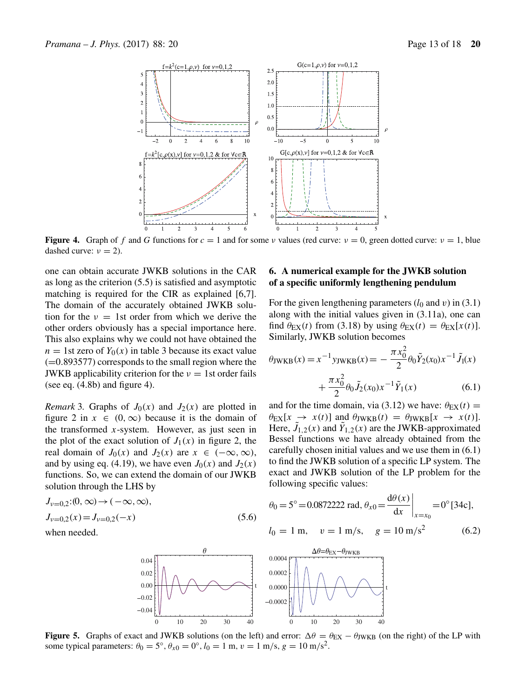

**Figure 4.** Graph of f and G functions for  $c = 1$  and for some v values (red curve:  $v = 0$ , green dotted curve:  $v = 1$ , blue dashed curve:  $\nu = 2$ ).

one can obtain accurate JWKB solutions in the CAR as long as the criterion (5.5) is satisfied and asymptotic matching is required for the CIR as explained [6,7]. The domain of the accurately obtained JWKB solution for the  $v = 1$ st order from which we derive the other orders obviously has a special importance here. This also explains why we could not have obtained the  $n = 1$ st zero of  $Y_0(x)$  in table 3 because its exact value  $(=0.893577)$  corresponds to the small region where the JWKB applicability criterion for the  $\nu = 1$ st order fails (see eq.  $(4.8b)$  and figure 4).

*Remark* 3. Graphs of  $J_0(x)$  and  $J_2(x)$  are plotted in figure 2 in  $x \in (0, \infty)$  because it is the domain of the transformed  $x$ -system. However, as just seen in the plot of the exact solution of  $J_1(x)$  in figure 2, the real domain of  $J_0(x)$  and  $J_2(x)$  are  $x \in (-\infty, \infty)$ , and by using eq. (4.19), we have even  $J_0(x)$  and  $J_2(x)$ functions. So, we can extend the domain of our JWKB solution through the LHS by

$$
J_{\nu=0,2}(0,\infty) \to (-\infty,\infty),
$$
  
\n
$$
J_{\nu=0,2}(x) = J_{\nu=0,2}(-x)
$$
  
\nwhen needed. (5.6)

## **6. A numerical example for the JWKB solution of a specific uniformly lengthening pendulum**

For the given lengthening parameters  $(l_0 \text{ and } v)$  in (3.1) along with the initial values given in (3.11a), one can find  $\theta_{\text{EX}}(t)$  from (3.18) by using  $\theta_{\text{EX}}(t) = \theta_{\text{EX}}[x(t)].$ Similarly, JWKB solution becomes

$$
\theta_{\text{JWKB}}(x) = x^{-1} \text{y}_{\text{JWKB}}(x) = -\frac{\pi x_0^2}{2} \theta_0 \tilde{Y}_2(x_0) x^{-1} \tilde{J}_1(x) + \frac{\pi x_0^2}{2} \theta_0 \tilde{J}_2(x_0) x^{-1} \tilde{Y}_1(x)
$$
(6.1)

and for the time domain, via (3.12) we have:  $\theta_{EX}(t) =$  $\theta_{\rm EX}[x \to x(t)]$  and  $\theta_{\rm JWKB}(t) = \theta_{\rm JWKB}[x \to x(t)].$ Here,  $J_{1,2}(x)$  and  $Y_{1,2}(x)$  are the JWKB-approximated Bessel functions we have already obtained from the carefully chosen initial values and we use them in (6.1) to find the JWKB solution of a specific LP system. The exact and JWKB solution of the LP problem for the following specific values:

$$
\theta_0 = 5^\circ = 0.0872222 \text{ rad}, \theta_{x0} = \frac{d\theta(x)}{dx}\Big|_{x=x_0} = 0^\circ [34c],
$$
  
\n $l_0 = 1 \text{ m}, \quad v = 1 \text{ m/s}, \quad g = 10 \text{ m/s}^2$  (6.2)



**Figure 5.** Graphs of exact and JWKB solutions (on the left) and error:  $\Delta \theta = \theta_{\text{EX}} - \theta_{\text{JWKB}}$  (on the right) of the LP with some typical parameters:  $\theta_0 = 5^\circ$ ,  $\theta_{x0} = 0^\circ$ ,  $l_0 = 1$  m,  $v = 1$  m/s,  $g = 10$  m/s<sup>2</sup>.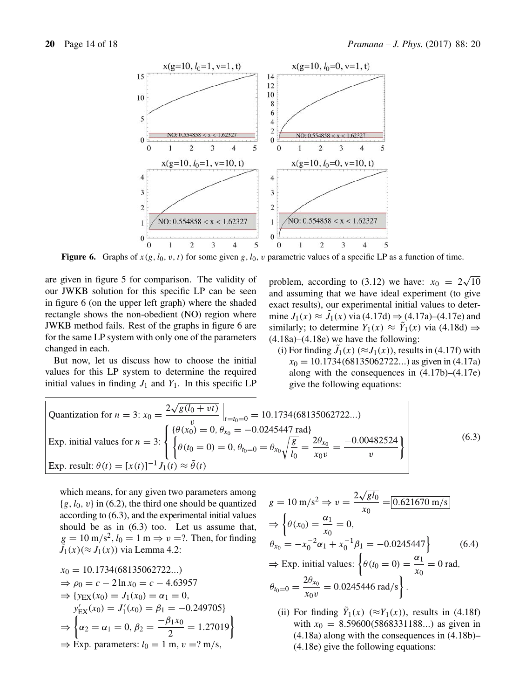

**Figure 6.** Graphs of  $x(g, l_0, v, t)$  for some given g,  $l_0$ , v parametric values of a specific LP as a function of time.

are given in figure 5 for comparison. The validity of our JWKB solution for this specific LP can be seen in figure 6 (on the upper left graph) where the shaded rectangle shows the non-obedient (NO) region where JWKB method fails. Rest of the graphs in figure 6 are for the same LP system with only one of the parameters changed in each.

But now, let us discuss how to choose the initial values for this LP system to determine the required initial values in finding  $J_1$  and  $Y_1$ . In this specific LP

problem, according to (3.12) we have:  $x_0 = 2\sqrt{10}$ and assuming that we have ideal experiment (to give exact results), our experimental initial values to determine  $J_1(x) \approx J_1(x)$  via (4.17d)  $\Rightarrow$  (4.17a)–(4.17e) and similarly; to determine  $Y_1(x) \approx \overline{Y}_1(x)$  via (4.18d)  $\Rightarrow$ (4.18a)–(4.18e) we have the following:

(i) For finding  $J_1(x)$  ( $\approx J_1(x)$ ), results in (4.17f) with  $x_0 = 10.1734(68135062722...)$  as given in (4.17a) along with the consequences in (4.17b)–(4.17e) give the following equations:

Quantization for 
$$
n = 3
$$
:  $x_0 = \frac{2\sqrt{g(l_0 + vt)}}{v} \Big|_{t=t_0=0} = 10.1734(68135062722...)$   
\nExp. initial values for  $n = 3$ :  
\n
$$
\begin{cases}\n\{\theta(x_0) = 0, \theta_{x_0} = -0.0245447 \text{ rad}\} \\
\theta(t_0 = 0) = 0, \theta_{t_0=0} = \theta_{x_0}\sqrt{\frac{g}{l_0}} = \frac{2\theta_{x_0}}{x_0v} = \frac{-0.00482524}{v}\n\end{cases}
$$
\n(6.3)  
\nExp. result:  $\theta(t) = [x(t)]^{-1} J_1(t) \approx \tilde{\theta}(t)$ 

which means, for any given two parameters among  ${g, l_0, v}$  in (6.2), the third one should be quantized according to (6.3), and the experimental initial values should be as in (6.3) too. Let us assume that,  $g = 10 \text{ m/s}^2$ ,  $l_0 = 1 \text{ m} \Rightarrow v = ?$ . Then, for finding  $J_1(x)$  ( $\approx J_1(x)$ ) via Lemma 4.2:

$$
x_0 = 10.1734(68135062722...)
$$
  
\n
$$
\Rightarrow \rho_0 = c - 2\ln x_0 = c - 4.63957
$$
  
\n
$$
\Rightarrow \{y_{EX}(x_0) = J_1(x_0) = \alpha_1 = 0,
$$
  
\n
$$
y'_{EX}(x_0) = J'_1(x_0) = \beta_1 = -0.249705\}
$$
  
\n
$$
\Rightarrow \begin{cases} \alpha_2 = \alpha_1 = 0, \ \beta_2 = \frac{-\beta_1 x_0}{2} = 1.27019\\ \Rightarrow \text{Exp. parameters: } l_0 = 1 \text{ m}, \ v = ? \text{ m/s}, \end{cases}
$$

$$
g = 10 \text{ m/s}^2 \Rightarrow v = \frac{2\sqrt{gl_0}}{x_0} = 0.621670 \text{ m/s}
$$
  
\n
$$
\Rightarrow \left\{ \theta(x_0) = \frac{\alpha_1}{x_0} = 0, \right.
$$
  
\n
$$
\theta_{x_0} = -x_0^{-2} \alpha_1 + x_0^{-1} \beta_1 = -0.0245447 \right\}
$$
 (6.4)  
\n
$$
\Rightarrow \text{Exp. initial values: } \left\{ \theta(t_0 = 0) = \frac{\alpha_1}{x_0} = 0 \text{ rad,} \right.
$$
  
\n
$$
\theta_{t_0=0} = \frac{2\theta_{x_0}}{x_0 v} = 0.0245446 \text{ rad/s} \right\}.
$$

(ii) For finding  $Y_1(x)$  ( $\approx Y_1(x)$ ), results in (4.18f) with  $x_0 = 8.59600(5868331188...)$  as given in (4.18a) along with the consequences in (4.18b)– (4.18e) give the following equations: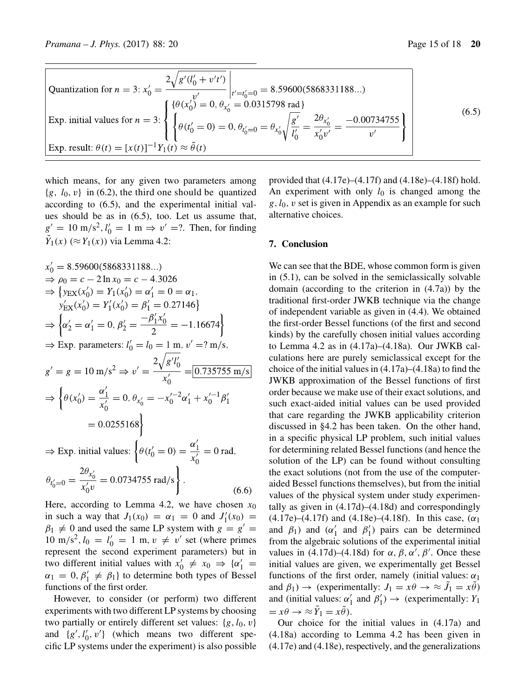Quantization for 
$$
n = 3
$$
:  $x'_0 = \frac{2\sqrt{g'(l'_0 + v't')}}{v'}$   $\Big|_{t'=t'_0=0} = 8.59600(5868331188...)$   
\nExp. initial values for  $n = 3$ :  
\n
$$
\begin{cases}\n\{\theta(x'_0) = 0, \theta_{x'_0} = 0.0315798 \text{ rad}\} \\
\theta(t'_0 = 0) = 0, \theta_{t'_0=0} = \theta_{x'_0}\sqrt{\frac{g'}{l'_0}} = \frac{2\theta_{x'_0}}{x'_0v'} = \frac{-0.00734755}{v'}\n\end{cases}
$$
\n(6.5)  
\nExp. result:  $\theta(t) = [x(t)]^{-1}Y_1(t) \approx \tilde{\theta}(t)$ 

which means, for any given two parameters among  ${g, l_0, v}$  in (6.2), the third one should be quantized according to (6.5), and the experimental initial values should be as in (6.5), too. Let us assume that,  $g' = 10 \text{ m/s}^2$ ,  $l'_0 = 1 \text{ m} \Rightarrow v' = ?$ . Then, for finding  $\hat{Y}_1(x)$  ( $\approx Y_1(x)$ ) via Lemma 4.2:

$$
x'_0 = 8.59600(5868331188...)
$$
  
\n
$$
\Rightarrow \rho_0 = c - 2 \ln x_0 = c - 4.3026
$$
  
\n
$$
\Rightarrow \{y_{EX}(x'_0) = Y_1(x'_0) = \alpha'_1 = 0 = \alpha_1,
$$
  
\n
$$
y'_{EX}(x'_0) = Y'_1(x'_0) = \beta'_1 = 0.27146
$$
  
\n
$$
\Rightarrow \{\alpha'_2 = \alpha'_1 = 0, \beta'_2 = \frac{-\beta'_1 x'_0}{2} = -1.16674\}
$$
  
\n
$$
\Rightarrow \text{Exp. parameters: } l'_0 = l_0 = 1 \text{ m}, v' = ? \text{ m/s},
$$
  
\n
$$
g' = g = 10 \text{ m/s}^2 \Rightarrow v' = \frac{2\sqrt{g'l'_0}}{x'_0} = 0.735755 \text{ m/s}
$$
  
\n
$$
\Rightarrow \{\theta(x'_0) = \frac{\alpha'_1}{x'_0} = 0, \theta_{x'_0} = -x_0'^{-2} \alpha'_1 + x_0'^{-1} \beta'_1
$$
  
\n= 0.0255168  
\n
$$
\Rightarrow \text{Exp. initial values: } \{\theta(t'_0 = 0) = \frac{\alpha'_1}{x'_0} = 0 \text{ rad},
$$
  
\n
$$
\theta_{t'_0=0} = \frac{2\theta_{x'_0}}{x'_0 v} = 0.0734755 \text{ rad/s}\}.
$$
  
\n(6.6)

Here, according to Lemma 4.2, we have chosen  $x_0$ in such a way that  $J_1(x_0) = \alpha_1 = 0$  and  $J'_1(x_0) =$  $\beta_1 \neq 0$  and used the same LP system with  $g = g'$ 10 m/s<sup>2</sup>,  $l_0 = l'_0 = 1$  m,  $v \neq v'$  set (where primes represent the second experiment parameters) but in two different initial values with  $x'_0 \neq x_0 \Rightarrow {\alpha'_1} =$  $\alpha_1 = 0, \beta'_1 \neq \beta_1$  to determine both types of Bessel functions of the first order.

However, to consider (or perform) two different experiments with two different LP systems by choosing two partially or entirely different set values:  $\{g, l_0, v\}$ and  $\{g', l'_0, v'\}$  (which means two different specific LP systems under the experiment) is also possible

provided that (4.17e)–(4.17f) and (4.18e)–(4.18f) hold. An experiment with only  $l_0$  is changed among the  $g, l_0, v$  set is given in Appendix as an example for such alternative choices.

#### **7. Conclusion**

We can see that the BDE, whose common form is given in (5.1), can be solved in the semiclassically solvable domain (according to the criterion in (4.7a)) by the traditional first-order JWKB technique via the change of independent variable as given in (4.4). We obtained the first-order Bessel functions (of the first and second kinds) by the carefully chosen initial values according to Lemma 4.2 as in (4.17a)–(4.18a). Our JWKB calculations here are purely semiclassical except for the choice of the initial values in (4.17a)–(4.18a) to find the JWKB approximation of the Bessel functions of first order because we make use of their exact solutions, and such exact-aided initial values can be used provided that care regarding the JWKB applicability criterion discussed in §4.2 has been taken. On the other hand, in a specific physical LP problem, such initial values for determining related Bessel functions (and hence the solution of the LP) can be found without consulting the exact solutions (not from the use of the computeraided Bessel functions themselves), but from the initial values of the physical system under study experimentally as given in (4.17d)–(4.18d) and correspondingly (4.17e)–(4.17f) and (4.18e)–(4.18f). In this case,  $(\alpha_1)$ and  $\beta_1$ ) and  $(\alpha'_1$  and  $\beta'_1$ ) pairs can be determined from the algebraic solutions of the experimental initial values in (4.17d)–(4.18d) for  $\alpha$ ,  $\beta$ ,  $\alpha'$ ,  $\beta'$ . Once these initial values are given, we experimentally get Bessel functions of the first order, namely (initial values:  $\alpha_1$ ) and  $\beta_1$ )  $\rightarrow$  (experimentally:  $J_1 = x\theta \rightarrow \approx \tilde{J}_1 = x\tilde{\theta}$ ) and (initial values:  $\alpha'_1$  and  $\beta'_1$ )  $\rightarrow$  (experimentally:  $Y_1$  $= x\theta \rightarrow \approx \tilde{Y}_1 = x\tilde{\theta}.$ 

Our choice for the initial values in (4.17a) and (4.18a) according to Lemma 4.2 has been given in (4.17e) and (4.18e), respectively, and the generalizations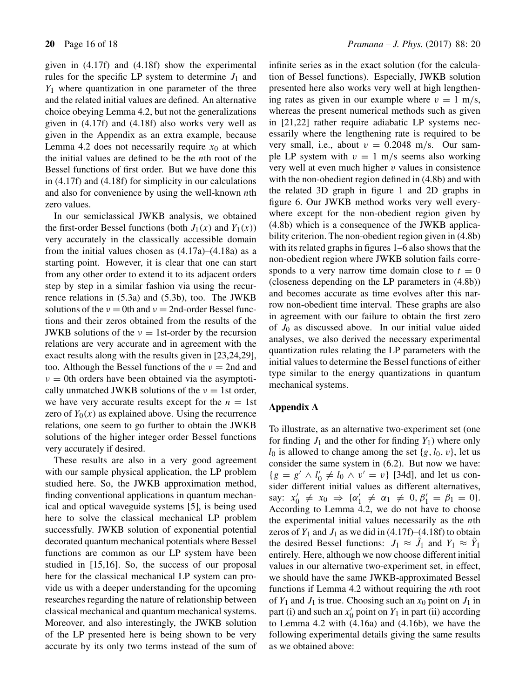given in (4.17f) and (4.18f) show the experimental rules for the specific LP system to determine  $J_1$  and  $Y_1$  where quantization in one parameter of the three and the related initial values are defined. An alternative choice obeying Lemma 4.2, but not the generalizations given in (4.17f) and (4.18f) also works very well as given in the Appendix as an extra example, because Lemma 4.2 does not necessarily require  $x_0$  at which the initial values are defined to be the *n*th root of the Bessel functions of first order. But we have done this in (4.17f) and (4.18f) for simplicity in our calculations and also for convenience by using the well-known  $n$ th zero values.

In our semiclassical JWKB analysis, we obtained the first-order Bessel functions (both  $J_1(x)$  and  $Y_1(x)$ ) very accurately in the classically accessible domain from the initial values chosen as  $(4.17a)$ – $(4.18a)$  as a starting point. However, it is clear that one can start from any other order to extend it to its adjacent orders step by step in a similar fashion via using the recurrence relations in (5.3a) and (5.3b), too. The JWKB solutions of the  $v = 0$ th and  $v = 2$ nd-order Bessel functions and their zeros obtained from the results of the JWKB solutions of the  $v = 1$ st-order by the recursion relations are very accurate and in agreement with the exact results along with the results given in [23,24,29], too. Although the Bessel functions of the  $\nu = 2$ nd and  $\nu = 0$ th orders have been obtained via the asymptotically unmatched JWKB solutions of the  $v = 1$ st order, we have very accurate results except for the  $n = 1$ st zero of  $Y_0(x)$  as explained above. Using the recurrence relations, one seem to go further to obtain the JWKB solutions of the higher integer order Bessel functions very accurately if desired.

These results are also in a very good agreement with our sample physical application, the LP problem studied here. So, the JWKB approximation method, finding conventional applications in quantum mechanical and optical waveguide systems [5], is being used here to solve the classical mechanical LP problem successfully. JWKB solution of exponential potential decorated quantum mechanical potentials where Bessel functions are common as our LP system have been studied in [15,16]. So, the success of our proposal here for the classical mechanical LP system can provide us with a deeper understanding for the upcoming researches regarding the nature of relationship between classical mechanical and quantum mechanical systems. Moreover, and also interestingly, the JWKB solution of the LP presented here is being shown to be very accurate by its only two terms instead of the sum of infinite series as in the exact solution (for the calculation of Bessel functions). Especially, JWKB solution presented here also works very well at high lengthening rates as given in our example where  $v = 1$  m/s, whereas the present numerical methods such as given in [21,22] rather require adiabatic LP systems necessarily where the lengthening rate is required to be very small, i.e., about  $v = 0.2048$  m/s. Our sample LP system with  $v = 1$  m/s seems also working very well at even much higher  $v$  values in consistence with the non-obedient region defined in (4.8b) and with the related 3D graph in figure 1 and 2D graphs in figure 6. Our JWKB method works very well everywhere except for the non-obedient region given by (4.8b) which is a consequence of the JWKB applicability criterion. The non-obedient region given in (4.8b) with its related graphs in figures 1–6 also shows that the non-obedient region where JWKB solution fails corresponds to a very narrow time domain close to  $t = 0$ (closeness depending on the LP parameters in (4.8b)) and becomes accurate as time evolves after this narrow non-obedient time interval. These graphs are also in agreement with our failure to obtain the first zero of  $J_0$  as discussed above. In our initial value aided analyses, we also derived the necessary experimental quantization rules relating the LP parameters with the initial values to determine the Bessel functions of either type similar to the energy quantizations in quantum mechanical systems.

#### **Appendix A**

To illustrate, as an alternative two-experiment set (one for finding  $J_1$  and the other for finding  $Y_1$ ) where only  $l_0$  is allowed to change among the set  $\{g, l_0, v\}$ , let us consider the same system in (6.2). But now we have:  ${g = g' \land l'_0 \neq l_0 \land v' = v}$  [34d], and let us consider different initial values as different alternatives, say:  $x'_0 \neq x_0 \Rightarrow {\alpha'_1} \neq {\alpha_1} \neq 0, \beta'_1 = \beta_1 = 0$ . According to Lemma 4.2, we do not have to choose the experimental initial values necessarily as the  $n$ th zeros of  $Y_1$  and  $J_1$  as we did in (4.17f)–(4.18f) to obtain the desired Bessel functions:  $J_1 \approx J_1$  and  $Y_1 \approx Y_1$ entirely. Here, although we now choose different initial values in our alternative two-experiment set, in effect, we should have the same JWKB-approximated Bessel functions if Lemma 4.2 without requiring the nth root of  $Y_1$  and  $J_1$  is true. Choosing such an  $x_0$  point on  $J_1$  in part (i) and such an  $x'_0$  point on  $Y_1$  in part (ii) according to Lemma 4.2 with (4.16a) and (4.16b), we have the following experimental details giving the same results as we obtained above: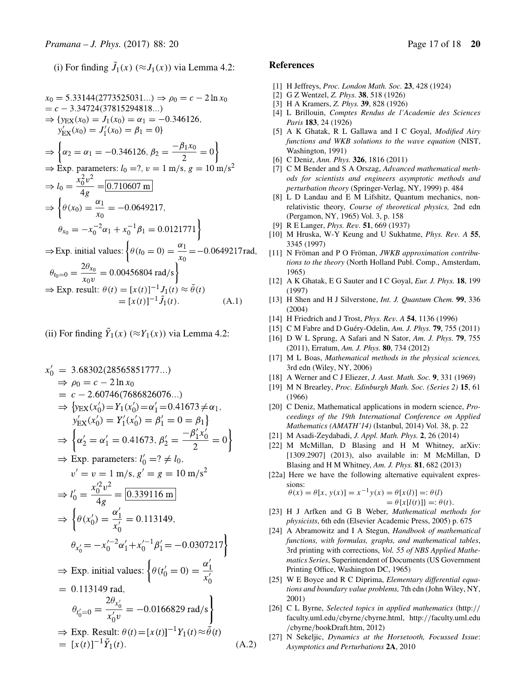(i) For finding  $J_1(x)$  ( $\approx J_1(x)$ ) via Lemma 4.2:

$$
x_0 = 5.33144(2773525031...) \Rightarrow \rho_0 = c - 2 \ln x_0
$$
  
\n
$$
= c - 3.34724(37815294818...)
$$
  
\n
$$
\Rightarrow \{y_{EX}(x_0) = J_1(x_0) = \alpha_1 = -0.346126,
$$
  
\n
$$
y'_{EX}(x_0) = J'_1(x_0) = \beta_1 = 0\}
$$
  
\n
$$
\Rightarrow \left\{\alpha_2 = \alpha_1 = -0.346126, \beta_2 = \frac{-\beta_1 x_0}{2} = 0\right\}
$$
  
\n
$$
\Rightarrow \text{Exp. parameters: } l_0 = ?, v = 1 \text{ m/s, } g = 10 \text{ m/s}^2
$$
  
\n
$$
\Rightarrow l_0 = \frac{x_0^2 v^2}{4g} = 0.710607 \text{ m}
$$
  
\n
$$
\Rightarrow \left\{\theta(x_0) = \frac{\alpha_1}{x_0} = -0.0649217,
$$
  
\n
$$
\theta_{x_0} = -x_0^{-2} \alpha_1 + x_0^{-1} \beta_1 = 0.0121771\right\}
$$
  
\n
$$
\Rightarrow \text{Exp. initial values: } \left\{\theta(t_0 = 0) = \frac{\alpha_1}{x_0} = -0.0649217 \text{ rad}
$$
  
\n
$$
\theta_{t_0=0} = \frac{2\theta_{x_0}}{x_0 v} = 0.00456804 \text{ rad/s}\right\}
$$
  
\n
$$
\Rightarrow \text{Exp. result: } \theta(t) = [x(t)]^{-1} J_1(t) \approx \tilde{\theta}(t)
$$
  
\n
$$
= [x(t)]^{-1} \tilde{J}_1(t).
$$
 (A.1)

(ii) For finding  $Y_1(x)$  ( $\approx Y_1(x)$ ) via Lemma 4.2:

$$
x'_0 = 3.68302(28565851777...)
$$
  
\n
$$
\Rightarrow \rho_0 = c - 2 \ln x_0
$$
  
\n
$$
= c - 2.60746(7686826076...)
$$
  
\n
$$
\Rightarrow \{v_{EX}(x'_0) = Y_1(x'_0) = \alpha'_1 = 0.41673 \neq \alpha_1,
$$
  
\n
$$
y'_{EX}(x'_0) = Y'_1(x'_0) = \beta'_1 = 0 = \beta_1\}
$$
  
\n
$$
\Rightarrow \{\alpha'_2 = \alpha'_1 = 0.41673, \beta'_2 = \frac{-\beta'_1 x'_0}{2} = 0\}
$$
  
\n
$$
\Rightarrow \text{Exp. parameters: } l'_0 = ? \neq l_0,
$$
  
\n
$$
v' = v = 1 \text{ m/s}, g' = g = 10 \text{ m/s}^2
$$
  
\n
$$
\Rightarrow l'_0 = \frac{x_0'^2 v^2}{4g} = \boxed{0.339116 \text{ m}}
$$
  
\n
$$
\Rightarrow \{\theta(x'_0) = \frac{\alpha'_1}{x'_0} = 0.113149,
$$
  
\n
$$
\theta_{x'_0} = -x_0'^{-2} \alpha'_1 + x_0'^{-1} \beta'_1 = -0.0307217\}
$$
  
\n
$$
\Rightarrow \text{Exp. initial values: } \{\theta(t'_0 = 0) = \frac{\alpha'_1}{x'_0}\}
$$
  
\n
$$
= 0.113149 \text{ rad},
$$
  
\n
$$
\theta_{t'_0=0} = \frac{2\theta_{x'_0}}{x'_0 v} = -0.0166829 \text{ rad/s}\}
$$
  
\n
$$
\Rightarrow \text{Exp. Result: } \theta(t) = [x(t)]^{-1} Y_1(t) \approx \tilde{\theta}(t)
$$
  
\n
$$
= [x(t)]^{-1} \tilde{Y}_1(t).
$$
 (A.2)

#### **References**

- [1] H Jeffreys, *Proc. London Math. Soc.* **23**, 428 (1924)
- [2] G Z Wentzel, *Z. Phys.* **38**, 518 (1926)
- [3] H A Kramers, *Z. Phys.* **39**, 828 (1926)
- [4] L Brillouin, *Comptes Rendus de l'Academie des Sciences Paris* **183**, 24 (1926)
- [5] A K Ghatak, R L Gallawa and I C Goyal, *Modified Airy functions and WKB solutions to the wa*v*e equation* (NIST, Washington, 1991)
- [6] C Deniz, *Ann. Phys.* **326**, 1816 (2011)
- [7] C M Bender and S A Orszag, *Ad*v*anced mathematical methods for scientists and engineers asymptotic methods and perturbation theory* (Springer-Verlag, NY, 1999) p. 484
- [8] L D Landau and E M Lifshitz, Quantum mechanics, nonrelativistic theory, *Course of theoretical physics,* 2nd edn (Pergamon, NY, 1965) Vol. 3, p. 158
- [9] R E Langer, *Phys. Re*v*.* **51**, 669 (1937)
- [10] M Hruska, W-Y Keung and U Sukhatme, *Phys. Re*v*. A* **55**, 3345 (1997)
- [11] N Fröman and P O Fröman, *JWKB approximation contributions to the theory* (North Holland Publ. Comp., Amsterdam, 1965)
- [12] A K Ghatak, E G Sauter and I C Goyal, *Eur. J. Phys.* **18**, 199 (1997)
- [13] H Shen and H J Silverstone, *Int. J. Quantum Chem.* **99**, 336 (2004)
- [14] H Friedrich and J Trost, *Phys. Re*v*. A* **54**, 1136 (1996)
- [15] C M Fabre and D Guéry-Odelin, *Am. J. Phys.* **79**, 755 (2011)
- [16] D W L Sprung, A Safari and N Sator, *Am. J. Phys.* **79**, 755 (2011), Erratum, *Am. J. Phys.* **80**, 734 (2012)
- [17] M L Boas, *Mathematical methods in the physical sciences,* 3rd edn (Wiley, NY, 2006)
- [18] A Werner and C J Eliezer, *J. Aust. Math. Soc.* **9**, 331 (1969)
- [19] M N Brearley, *Proc. Edinburgh Math. Soc. (Series 2)* **15**, 61 (1966)
- [20] C Deniz, Mathematical applications in modern science, *Proceedings of the 19th International Conference on Applied Mathematics (AMATH'14)* (Istanbul, 2014) Vol. 38, p. 22
- [21] M Asadi-Zeydabadi, *J. Appl. Math. Phys.* **2**, 26 (2014)
- [22] M McMillan, D Blasing and H M Whitney, arXiv: [1309.2907] (2013), also available in: M McMillan, D Blasing and H M Whitney, *Am. J. Phys.* **81**, 682 (2013)
- [22a] Here we have the following alternative equivalent expressions:  $\theta(x) = \theta[x, y(x)] = x^{-1}y(x) = \theta[x(l)] =: \theta(l)$

$$
x \rightarrow (x) = \partial [x(t)] =: \partial(t)
$$

$$
= \partial \{x[l(t)]\} =: \partial(t).
$$

- [23] H J Arfken and G B Weber, *Mathematical methods for physicists*, 6th edn (Elsevier Academic Press, 2005) p. 675
- [24] A Abramowitz and I A Stegun, *Handbook of mathematical functions, with formulas, graphs, and mathematical tables*, 3rd printing with corrections, *Vol. 55 of NBS Applied Mathematics Series*, Superintendent of Documents (US Government Printing Office, Washington DC, 1965)
- [25] W E Boyce and R C Diprima, *Elementary differential equations and boundary* v*alue problems,* 7th edn (John Wiley, NY, 2001)
- [26] C L Byrne, *Selected topics in applied mathematics* (http:// faculty.uml.edu/cbyrne/cbyrne.html, http://faculty.uml.edu /cbyrne/bookDraft.htm, 2012)
- [27] N Sekeljic, *Dynamics at the Horsetooth, Focussed Issue*: *Asymptotics and Perturbations* **2A**, 2010